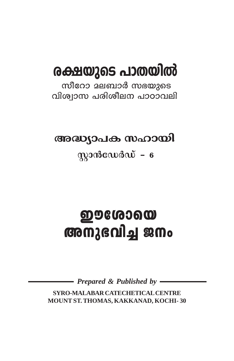# രക്ഷയുടെ പാതയിൽ

സീറോ മലബാർ സഭയുടെ വിശ്വാസ പരിശീലന പാഠാവലി

അദ്ധ്യാപക സഹായി

 $\eta$ ുാൻഡേർഡ് – 6

# **ഇൗശോയെ** അനുഭവിച്ച ജനം

Prepared & Published by -

SYRO-MALABAR CATECHETICAL CENTRE MOUNT ST. THOMAS, KAKKANAD, KOCHI-30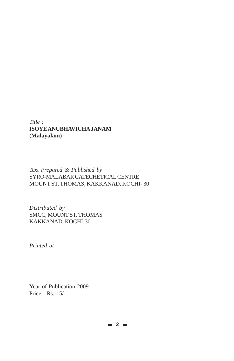#### *Title :* **ISOYE ANUBHAVICHA JANAM (Malayalam)**

#### *Text Prepared & Published by* SYRO-MALABAR CATECHETICAL CENTRE MOUNT ST. THOMAS, KAKKANAD, KOCHI- 30

*Distributed by* SMCC, MOUNT ST. THOMAS KAKKANAD, KOCHI-30

*Printed at*

Year of Publication 2009 Price : Rs. 15/-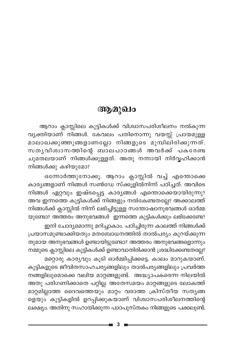## ആമുഖം

ആറാം ക്ലാസ്സിലെ കുട്ടികൾക്ക് വിശ്വാസപരിശീലനം നൽകുന്ന വ്യക്തിയാണ് നിങ്ങൾ. കേവലം പതിനൊന്നു വയസ്സ് പ്രായമുള്ള മാലാഖക്കുഞ്ഞുങ്ങളാണല്ലോ നിങ്ങളുടെ മുമ്പിലിരിക്കുന്നത്. സതൃവിശ്വാസത്തിന്റെ ബാലപാഠങ്ങൾ അവർക്ക് പകരേണ്ട ചുമതലയാണ് നിങ്ങൾക്കുള്ളത്. അതു നന്നായി നിർവ്വഹിക്കാൻ നിങ്ങൾക്കു കഴിയുമോ?

ഒന്നോർത്തുനോക്കൂ. ആറാം ക്ലാസ്സിൽ വച്ച് എന്തൊക്കെ കാര്യങ്ങളാണ് നിങ്ങൾ സൺഡേ സ്ക്കൂളിൽനിന്ന് പഠിച്ചത്. അവിടെ നിങ്ങൾ ഏറ്റവും ഇഷ്ടപ്പെട്ട കാര്യങ്ങൾ എന്തൊക്കെയായിരുന്നു? അവ ഇന്നത്തെ കുട്ടികൾക്ക് നിങ്ങളും നൽകേണ്ടതല്ലേ? അക്കാലത്ത് നിങ്ങൾക്ക് ക്ലാസ്സിൽ നിന്ന് ലഭിച്ചിട്ടുള്ള സന്തോഷാനുഭവങ്ങൾ ഓർമ്മ യുണ്ടോ? അത്തരം അനുഭവങ്ങൾ ഇന്നത്തെ കുട്ടികൾക്കും ലഭിക്കേണ്ടേ? ഇനി ചോദ്യമൊന്നു മറിച്ചാകാം. പഠിച്ചിരുന്ന കാലത്ത് നിങ്ങൾക്ക് പ്രയാസമുണ്ടാക്കിയതും മതബോധനത്തിൽ താൽപര്യം കുറയ്ക്കുന്ന തുമായ അനുഭവങ്ങൾ ഉണ്ടായിട്ടുണ്ടോ? അത്തരം അനുഭവങ്ങളൊന്നും നമ്മുടെ ക്ലാസ്സിലെ കുട്ടികൾക്ക് ഉണ്ടാവാതിരിക്കാൻ ശ്രദ്ധിക്കേണ്ടതല്ലേ? മറ്റൊരു കാര്യവും കൂടി ഓർമ്മിപ്പിക്കട്ടെ. കാലം മാറുകയാണ്.

കുട്ടികളുടെ ജീവിതസാഹചര്യങ്ങളിലും താൽപര്യങ്ങളിലും പ്രവർത്ത നങ്ങളിലുമൊക്കെ വലിയ മാറ്റങ്ങളുണ്ട്. അദ്ധ്യാപകരെന്ന നിലയിൽ അതു പരിഗണിക്കാതെ പറ്റില്ല. അതേസമയം മാറ്റങ്ങളുടെ ലോകത്ത് മാറ്റമില്ലാത്ത ദൈവത്തെയും മാറ്റം വരാത്ത ക്രിസ്തീയ സത്യങ്ങ ളെയും കുട്ടികളിൽ ഉറപ്പിക്കുകയാണ് വിശ്വാസപരിശീലനത്തിന്റെ ലക്ഷ്യം. അതിനു സഹായിക്കുന്ന പാഠപുസ്തകം നിങ്ങളുടെ പക്കലുണ്ട്.

3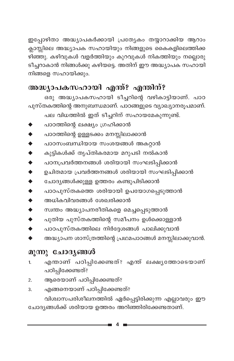ഇപ്പോഴിതാ അദ്ധ്യാപകർക്കായി പ്രത്യേകം തയ്യാറാക്കിയ ആറാം ക്ലാസ്സിലെ അദ്ധ്യാപക സഹായിയും നിങ്ങളുടെ കൈകളിലെത്തിക്ക ഴിഞ്ഞു. കഴിവുകൾ വളർത്തിയും കുറവുകൾ നികത്തിയും നല്ലൊരു ടീച്ചറാകാൻ നിങ്ങൾക്കു കഴിയട്ടെ. അതിന് ഈ അദ്ധ്യാപക സഹായി നിങ്ങളെ സഹായിക്കും.

## അദ്ധ്യാപകസഹായി എന്ത്? എന്തിന്?

ഒരു അദ്ധ്യാപകസഹായി ടീച്ചറിന്റെ വഴികാട്ടിയാണ്. പാഠ പുസ്തകത്തിന്റെ അനുബന്ധമാണ്. പാഠങ്ങളുടെ വ്യാഖ്യാനരൂപമാണ്. പല വിധത്തിൽ ഇത് ടീച്ചറിന് സഹായമേകുന്നുണ്ട്.

- പാഠത്തിന്റെ ലക്ഷ്യം ഗ്രഹിക്കാൻ
- പാഠത്തിന്റെ ഉള്ളടക്കം മനസ്സിലാക്കാൻ
- പാഠസംബന്ധിയായ സംശയങ്ങൾ അകറ്റാൻ
- കുട്ടികൾക്ക് തൃപ്തികരമായ മറുപടി നൽകാൻ  $\ddot{\bullet}$
- പഠനപ്രവർത്തനങ്ങൾ ശരിയായി സംഘടിപ്പിക്കാൻ  $\blacklozenge$
- ഉചിതമായ പ്രവർത്തനങ്ങൾ ശരിയായി സംഘടിപ്പിക്കാൻ  $\blacklozenge$
- ചോദ്യങ്ങൾക്കുള്ള ഉത്തരം കണ്ടുപിടിക്കാൻ  $\bullet$
- പാഠപുസ്തകത്തെ ശരിയായി ഉപയോഗപ്പെടുത്താൻ  $\blacklozenge$
- $\bullet$ അധികവിവരങ്ങൾ ശേഖരിക്കാൻ
- സ്വന്തം അദ്ധ്യാപനരീതികളെ മെച്ചപ്പെടുത്താൻ  $\bullet$
- പുതിയ പുസ്തകത്തിന്റെ സമീപനം ഉൾക്കൊള്ളാൻ  $\bullet$
- പാഠപുസ്തകത്തിലെ നിർദ്ദേശങ്ങൾ പാലിക്കുവാൻ
- അദ്ധ്യാപന ശാസ്ത്രത്തിന്റെ പ്രഥമപാഠങ്ങൾ മനസ്സിലാക്കുവാൻ.

## മൂന്നു ചോദ്യങ്ങൾ

- എന്താണ് പഠിപ്പിക്കേണ്ടത്? എന്ത് ലക്ഷ്യത്തോടെയാണ്  $\mathbf{1}$ പഠിപ്പിക്കേണ്ടത്?
- ആരെയാണ് പഠിപ്പിക്കേണ്ടത്?  $\overline{2}$ .
- എങ്ങനെയാണ് പഠിപ്പിക്കേണ്ടത്? 3. വിശ്വാസപരിശീലനത്തിൽ ഏർപ്പെട്ടിരിക്കുന്ന എല്ലാവരും ഈ

ചോദ്യങ്ങൾക്ക് ശരിയായ ഉത്തരം അറിഞ്ഞിരിക്കേണ്ടതാണ്.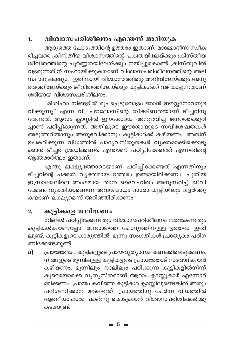#### വിശ്വാസപരിശീലനം എന്തെന്ന് അറിയുക 1.

ആദ്യത്തെ ചോദ്യത്തിന്റെ ഉത്തരം ഇതാണ്. മാമ്മോദീസ സ്വീക രിച്ചവരെ ക്രിസ്തീയ വിശ്വാസത്തിന്റെ പക്വതയിലേയ്ക്കും ക്രിസ്തീയ ജീവിതത്തിന്റെ പൂർണ്ണതയിലേയ്ക്കും നയിച്ചുകൊണ്ട് ക്രിസ്തുവിൽ വളരുന്നതിന് സഹായിക്കുകയാണ് വിശ്വാസ്പരിശീലനത്തിന്റെ അടി സ്ഥാന ലക്ഷ്യം. ഇതിനായി വിശ്വാസത്തിന്റെ അറിവിലേയ്ക്കും അനു ഭവത്തിലേയ്ക്കും ജീവിതത്തിലേയ്ക്കും കുട്ടികൾക്ക് വഴികാട്ടുന്നതാണ് ശരിയായ വിശ്വാസപരിശീലനം.

"മിശിഹാ നിങ്ങളിൽ രൂപപ്പെടുവോളം ഞാൻ ഈറ്റുനോവനുഭ വിക്കുന്നു" എന്ന വി. പൗലോസിന്റെ തീക്ഷ്ണതയാണ് ടീച്ചറിനു വേണ്ടത്. ആറാം ക്ലാസ്സിൽ ഈശോയെ അനുഭവിച്ച ജനത്തെക്കുറി ച്ചാണ് പഠിപ്പിക്കുന്നത്. അതിലൂടെ ഈശോയുടെ സവിശേഷതകൾ അടുത്തറിയാനും അനുഭവിക്കാനും കുട്ടികൾക്ക് കഴിയണം. അതിന് ഉപകരിക്കുന്ന വിധത്തിൽ പാഠൃവസ്തുതകൾ വൃക്തമാക്കിക്കൊടു ക്കാൻ ടീച്ചർ ശ്രദ്ധിക്കണം. എന്താണ് പഠിപ്പിക്കേണ്ടത് എന്നതിന്റെ ആന്തരാർത്ഥം ഇതാണ്.

എന്തു ലക്ഷ്യത്തോടെയാണ് പഠിപ്പിക്കേണ്ടത് എന്നതിനും ടീച്ചറിന്റെ പക്കൽ വ്യക്തമായ ഉത്തരം ഉണ്ടായിരിക്കണം. പുതിയ .<br>ഇസ്രായേലിലെ അംഗമായ താൻ ദൈവഹിതം അനുസരിച്ച് ജീവി ക്കേണ്ട വ്യക്തിയാണെന്ന അവബോധം ഓരോ കുട്ടിയിലും വളർത്തു കയാണ് ലക്ഷ്യമെന്ന് അറിഞ്ഞിരിക്കണം.

#### കുട്ടികളെ അറിയണം  $2.$

നിങ്ങൾ പഠിപ്പിക്കേണ്ടതും വിശ്വാസപരിശീലനം നൽകേണ്ടതും കുട്ടികൾക്കാണല്ലോ. രണ്ടാമത്തെ ചോദൃത്തിനുള്ള ഉത്തരം ഇതി ലുണ്ട്. കുട്ടികളുടെ കാരൃത്തിൽ മൂന്നു സംഗതികൾ പ്രത്യേകം പരിഗ ണിക്കേണ്ടതുണ്ട്.

പ്രായഭേദം : കുട്ടികളുടെ പ്രായവൃത്യാസം കണക്കിലെടുക്കണം. a) നിങ്ങളുടെ മുമ്പിലുള്ള കുട്ടികളുടെ പ്രായത്തോട് സംവാദിക്കാൻ കഴിയണം. മൂന്നിലും നാലിലും പഠിക്കുന്ന കുട്ടികളിൽനിന്ന് കുറെയൊക്കെ വ്യത്യസ്തരാണ് ആറാം ക്ലാസ്സുകാർ എന്നോർ മ്മിക്കണം. പ്രായം കവിഞ്ഞ കുട്ടികൾ ക്ലാസ്സിലുണ്ടെങ്കിൽ അതും പരിഗണിക്കാൻ മറക്കരുത്. പ്രായത്തിനു ചേർന്ന വിധത്തിൽ ആത്മീയാഹാരം പകർന്നു കൊടുക്കാൻ വിശ്വാസപരിശീലകർക്കു കടമയുണ്ട്.

5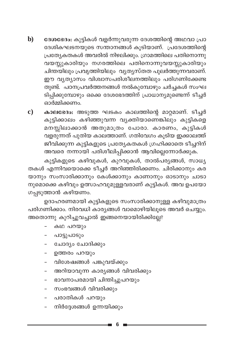- $\mathbf{b}$ ദേശഭേദം: കുട്ടികൾ വളർന്നുവരുന്ന ദേശത്തിന്റെ അഥവാ പ്രാ ദേശികഘടനയുടെ സന്താനങ്ങൾ കൂടിയാണ്. പ്രദേശത്തിന്റെ പ്രത്യേകതകൾ അവരിൽ നിഴലിക്കും. ഗ്രാമത്തിലെ പതിനൊന്നു വയസ്സുകാരിയും നഗരത്തിലെ പതിനൊന്നുവയസ്സുകാരിയും ചിന്തയിലും പ്രവൃത്തിയിലും വൃത്യസ്തത പുലർത്തുന്നവരാണ്. ഈ വ്യത്യാസം വിശ്വാസപരിശീലനത്തിലും പരിഗണിക്കേണ്ട തുണ്ട്. പഠനപ്രവർത്തനങ്ങൾ നൽകുമ്പോഴും ചർച്ചകൾ സംഘ ടിപ്പിക്കുമ്പോഴും ഒക്കെ ദേശഭേദത്തിന് പ്രാധാന്യമുണ്ടെന്ന് ടീച്ചർ ഓർമ്മിക്കണം.
- $\mathbf{c})$ കാലഭേദം: അടുത്ത ഘടകം കാലത്തിന്റെ മാറ്റമാണ്. ടീച്ചർ കുട്ടിക്കാലം കഴിഞ്ഞുവന്ന വ്യക്തിയാണെങ്കിലും കുട്ടികളെ മനസ്സിലാക്കാൻ അതുമാത്രം പോരാ. കാരണം, കുട്ടികൾ വളരുന്നത് പുതിയ കാലത്താണ്. ഗതിവേഗം കൂടിയ ഇക്കാലത്ത് ജീവിക്കുന്ന കുട്ടികളുടെ പ്രത്യേകതകൾ ഗ്രഹിക്കാതെ ടീച്ചറിന് അവരെ നന്നായി പരിശീലിപ്പിക്കാൻ ആവില്ലെന്നോർക്കുക.

കുട്ടികളുടെ കഴിവുകൾ, കുറവുകൾ, താൽപര്യങ്ങൾ, സാധ്യ തകൾ എന്നിവയൊക്കെ ടീച്ചർ അറിഞ്ഞിരിക്കണം. ചിരിക്കാനും കര യാനും സംസാരിക്കാനും കേൾക്കാനും കാണാനും ഓടാനും ചാടാ നുമൊക്കെ കഴിവും ഉത്സാഹവുമുള്ളവരാണ് കുട്ടികൾ. അവ ഉപയോ ഗപ്പടുത്താൻ കഴിയണം.

ഉദാഹരണമായി കുട്ടികളുടെ സംസാരിക്കാനുള്ള കഴിവുമാത്രം പരിഗണിക്കാം. നിരവധി കാര്യങ്ങൾ വാമൊഴിയിലൂടെ അവർ ചെയ്യും. അതൊന്നു കുറിച്ചുവച്ചാൽ ഇങ്ങനെയായിരിക്കില്ലേ?

- കഥ പറയും
- പാട്ടുപാടും
- ചോദ്യം ചോദിക്കും
- ഉത്തരം പറയും
- വിശേഷങ്ങൾ പങ്കുവയ്ക്കും
- അറിയാവുന്ന കാര്യങ്ങൾ വിവരിക്കും
- ഭാവനാപരമായി ചിന്തിച്ചുപറയും
- സംഭവങ്ങൾ വിവരിക്കും
- പരാതികൾ പറയും  $\equiv$
- നിർദ്ദേശങ്ങൾ ഉന്നയിക്കും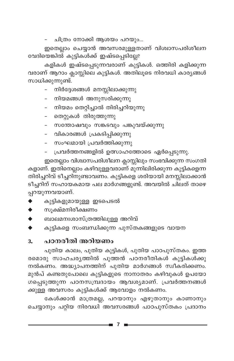ചിത്രം നോക്കി ആശയം പറയും...

ഇതെല്ലാം ചെയ്യാൻ അവസരമുള്ളതാണ് വിശ്വാസപരിശീലന വേദിയെങ്കിൽ കുട്ടികൾക്ക് ഇഷ്ടപ്പെടില്ലേ?

കളികൾ ഇഷ്ടപ്പെടുന്നവരാണ് കുട്ടികൾ. ഒത്തിരി കളിക്കുന്ന വരാണ് ആറാം ക്ലാസ്സിലെ കുട്ടികൾ. അതിലൂടെ നിരവധി കാര്യങ്ങൾ സാധിക്കുന്നുണ്ട്.

- നിർദ്ദേശങ്ങൾ മനസ്സിലാക്കുന്നു
- നിയമങ്ങൾ അനുസരിക്കുന്നു
- നിയമം തെറ്റിച്ചാൽ തിരിച്ചറിയുന്നു
- തെറ്റുകൾ തിരുത്തുന്നു
- സന്തോഷവും സങ്കടവും പങ്കുവയ്ക്കുന്നു
- വികാരങ്ങൾ പ്രകടിപ്പിക്കുന്നു
- സംഘമായി പ്രവർത്തിക്കുന്നു
- പ്രവർത്തനങ്ങളിൽ ഉത്സാഹത്തോടെ ഏർപ്പെടുന്നു.

ഇതെല്ലാം വിശ്വാസപരിശീലന ക്ലാസ്സിലും സംഭവിക്കുന്ന സംഗതി കളാണ്. ഇതിനെല്ലാം കഴിവുള്ളവരാണ് മുന്നിലിരിക്കുന്ന കുട്ടികളെന്ന തിരിച്ചറിവ് ടീച്ചറിനുണ്ടാവണം. കുട്ടികളെ ശരിയായി മനസ്സിലാക്കാൻ ടീച്ചറിന് സഹായകമായ പല മാർഗങ്ങളുണ്ട്. അവയിൽ ചിലത് താഴെ പ്പറയുന്നവയാണ്.

- കുട്ടികളുമായുള്ള ഇടപെടൽ
- സൂക്ഷ്മനിരീക്ഷണം  $\blacklozenge$
- ബാലമനഃശാസ്ത്രത്തിലുള്ള അറിവ്
- കുട്ടികളെ സംബന്ധിക്കുന്ന പുസ്തകങ്ങളുടെ വായന

#### പഠനരീതി അറിയണം 3.

പുതിയ കാലം, പുതിയ കുട്ടികൾ, പുതിയ പാഠപുസ്തകം. ഇത്ത രമൊരു സാഹചര്യത്തിൽ പുത്തൻ പഠനരീതികൾ കുട്ടികൾക്കു നൽകണം. അദ്ധ്യാപനത്തിന് പുതിയ മാർഗങ്ങൾ സ്വീകരിക്കണം. മുൻപ് കണ്ടതുപോലെ കുട്ടികളുടെ നാനാതരം കഴിവുകൾ ഉപയോ ഗപ്പെടുത്തുന്ന പഠനസമ്പ്രദായം ആവശ്യമാണ്. പ്രവർത്തനങ്ങൾ ക്കുള്ള അവസരം കുട്ടികൾക്ക് ആവോളം നൽകണം.

കേൾക്കാൻ മാത്രമല്ല, പറയാനും എഴുതാനും കാണാനും ചെയ്യാനും പറ്റിയ നിരവധി അവസരങ്ങൾ പാഠപുസ്തകം പ്രദാനം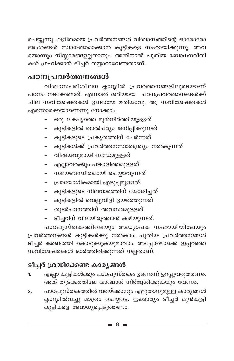ചെയ്യുന്നു. ലളിതമായ പ്രവർത്തനങ്ങൾ വിശ്വാസത്തിന്റെ ഓരോരോ അംശങ്ങൾ സ്വായത്തമാക്കാൻ കുട്ടികളെ സഹായിക്കുന്നു. അവ യൊന്നും നിസ്സാരങ്ങളല്ലതാനും. അതിനാൽ പുതിയ ബോധനരീതി കൾ ഗ്രഹിക്കാൻ ടീച്ചർ തയ്യാറാവേണ്ടതാണ്.

## പഠനപ്രവർത്തനങ്ങൾ

വിശ്വാസപരിശീലന ക്ലാസ്സിൽ പ്രവർത്തനങ്ങളിലൂടെയാണ് പഠനം നടക്കേണ്ടത്. എന്നാൽ ശരിയായ പഠനപ്രവർത്തനങ്ങൾക്ക് ചില സവിശേഷതകൾ ഉണ്ടായേ മതിയാവൂ. ആ സവിശേഷതകൾ എന്തൊക്കെയാണെന്നു നോക്കാം.

- ഒരു ലക്ഷ്യത്തെ മുൻനിർത്തിയുള്ളത്
- കുട്ടികളിൽ താൽപര്യം ജനിപ്പിക്കുന്നത്
- കുട്ടികളുടെ പ്രകൃതത്തിന് ചേർന്നത്
- കുട്ടികൾക്ക് പ്രവർത്തനസ്വാതന്ത്ര്യം നൽകുന്നത്
- വിഷയവുമായി ബന്ധമുള്ളത്
- എല്ലാവർക്കും പങ്കാളിത്തമുള്ളത്
- സമയബന്ധിതമായി ചെയ്യാവുന്നത്
- പ്രായോഗികമായി എളുപ്പമുള്ളത്.
- കുട്ടികളുടെ നിലവാരത്തിന് യോജിച്ചത്
- കുട്ടികളിൽ വെല്ലുവിളി ഉയർത്തുന്നത്
- തുടർപഠനത്തിന് അവസരമുള്ളത്
- ടീച്ചറിന് വിലയിരുത്താൻ കഴിയുന്നത്.

പാഠപുസ്തകത്തിലെയും അദ്ധ്യാപക സഹായിയിലേയും പ്രവർത്തനങ്ങൾ കുട്ടികൾക്കു നൽകാം. പുതിയ പ്രവർത്തനങ്ങൾ ടീച്ചർ കണ്ടെത്തി കൊടുക്കുകയുമാവാം. അപ്പോഴൊക്കെ ഇപ്പറഞ്ഞ സവിശേഷതകൾ ഓർത്തിരിക്കുന്നത് നല്ലതാണ്.

## ടീച്ചർ ശ്രദ്ധിക്കേണ്ട കാര്യങ്ങൾ

- എല്ലാ കുട്ടികൾക്കും പാഠപുസ്തകം ഉണ്ടെന്ന് ഉറപ്പുവരുത്തണം. 1. അത് തുടക്കത്തിലേ വാങ്ങാൻ നിർദ്ദേശിക്കുകയും വേണം.
- പാഠപുസ്തകത്തിൽ വരയ്ക്കാനും എഴുതാനുമുള്ള കാര്യങ്ങൾ  $2.$ ക്ലാസ്സിൽവച്ചു മാത്രം ചെയ്യട്ടെ. ഇക്കാര്യം ടീച്ചർ മുൻകൂട്ടി കുട്ടികളെ ബോധ്യപ്പെടുത്തണം.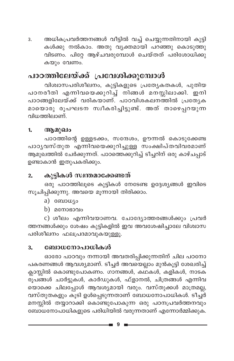അധികപ്രവർത്തനങ്ങൾ വീട്ടിൽ വച്ച് ചെയ്യുന്നതിനായി കുട്ടി 3. കൾക്കു നൽകാം. അതു വൃക്തമായി പറഞ്ഞു കൊടുത്തു വിടണം. പിറ്റേ ആഴ്ചവരുമ്പോൾ ചെയ്തത് പരിശോധിക്കു കയും വേണം.

## പാഠത്തിലേയ്ക്ക് പ്രവേശിക്കുമ്പോൾ

വിശ്വാസപരിശീലനം, കുട്ടികളുടെ പ്രത്യേകതകൾ, പുതിയ പഠനരീതി എന്നിവയെക്കുറിച്ച് നിങ്ങൾ മനസ്സിലാക്കി. ഇനി പാഠങ്ങളിലേയ്ക്ക് വരികയാണ്. പാഠവിശകലനത്തിൽ പ്രത്യേക മായൊരു രൂപഘടന സ്ഥീകരിച്ചിട്ടുണ്ട്. അത് താഴെപ്പറയുന്ന വിധത്തിലാണ്.

#### ആമുഖം  $1<sub>n</sub>$

പാഠത്തിന്റെ ഉള്ളടക്കം, സന്ദേശം, ഊന്നൽ കൊടുക്കേണ്ട പാഠൃവസ്തുത എന്നിവയെക്കുറിച്ചുള്ള സംക്ഷിപ്തവിവരമാണ് ആമുഖത്തിൽ ചേർക്കുന്നത്. പാഠത്തെക്കുറിച്ച് ടീച്ചറിന് ഒരു കാഴ്ചപ്പാട് ഉണ്ടാകാൻ ഇതുപകരിക്കും.

#### കുട്ടികൾ സ്വന്തമാക്കേണ്ടത്  $2.$

ഒരു പാഠത്തിലൂടെ കുട്ടികൾ നേടേണ്ട ഉദ്ദേശ്യങ്ങൾ ഇവിടെ സൂചിപ്പിക്കുന്നു. അവയെ മൂന്നായി തിരിക്കാം.

- a) ബോധ്യം
- b)  $\alpha$ നോഭാവം

c) ശീലം എന്നിവയാണവ. ചോദ്യോത്തരങ്ങൾക്കും പ്രവർ ത്തനങ്ങൾക്കും ശേഷം കുട്ടികളിൽ ഇവ അവശേഷിച്ചാലേ വിശ്വാസ പരിശീലനം ഫലപ്രദമാവുകയുള്ളൂ.

#### ബോധനോപാധികൾ 3.

ഓരോ പാഠവും നന്നായി അവതരിപ്പിക്കുന്നതിന് ചില പഠനോ പകരണങ്ങൾ ആവശ്യമാണ്. ടീച്ചർ അവയെല്ലാം മുൻകൂട്ടി ശേഖരിച്ച് ക്ലാസ്സിൽ കൊണ്ടുപോകണം. ഗാനങ്ങൾ, കഥകൾ, കളികൾ, നാടക രൂപങ്ങൾ ചാർട്ടുകൾ, കാർഡുകൾ, ഫ്ളാനൽ, ചിത്രങ്ങൾ എന്നിവ യൊക്കെ ചിലപ്പോൾ ആവശ്യമായി വരും. വസ്തുക്കൾ മാത്രമല്ല, വസ്തുതകളും കൂടി ഉൾപ്പെടുന്നതാണ് ബോധനോപാധികൾ. ടീച്ചർ മനസ്സിൽ തയ്യാറാക്കി കൊണ്ടുപോകുന്ന ഒരു പഠനപ്രവർത്തനവും ബോധനോപാധികളുടെ പരിധിയിൽ വരുന്നതാണ് എന്നോർമ്മിക്കുക.

9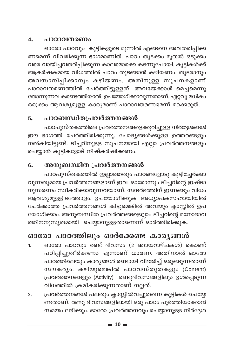#### 4. പാഠാവതരണം

ഓരോ പാഠവും കുട്ടികളുടെ മുന്നിൽ എങ്ങനെ അവതരിപ്പിക്ക ണമെന്ന് വിവരിക്കുന്ന ഭാഗമാണിത്. പാഠം തുടക്കം മുതൽ ഒടുക്കം വരെ വായിച്ചവതരിപ്പിക്കുന്ന കാലമൊക്കെ കടന്നുപോയി. കുട്ടികൾക്ക് ആകർഷകമായ വിധത്തിൽ പാഠം തുടങ്ങാൻ കഴിയണം. തുടരാനും അവസാനിപ്പിക്കാനും കഴിയണം. അതിനുള്ള സൂചനകളാണ് പാഠാവതരണത്തിൽ ചേർത്തിട്ടുള്ളത്. അവയേക്കാൾ മെച്ചമെന്നു തോന്നുന്നവ കണ്ടെത്തിയാൽ ഉപയോഗിക്കാവുന്നതാണ്. ഏറ്റവു മധികം ഒരുക്കം ആവശ്യമുള്ള കാര്യമാണ് പാഠാവതരണമെന്ന് മറക്കരുത്.

#### പാഠബന്ധിതപ്രവർത്തനങ്ങൾ 5.

പാഠപുസ്തകത്തിലെ പ്രവർത്തനങ്ങളെക്കുറിച്ചുള്ള നിർദ്ദേശങ്ങൾ ഈ ഭാഗത്ത് ചേർത്തിരിക്കുന്നു. ചോദ്യങ്ങൾക്കുള്ള ഉത്തരങ്ങളും നൽകിയിട്ടുണ്ട്. ടീച്ചറിനുള്ള സൂചനയായി എല്ലാ പ്രവർത്തനങ്ങളും ചെയ്യാൻ കുട്ടികളോട് നിഷ്കർഷിക്കണം.

#### അനുബന്ധിത പ്രവർത്തനങ്ങൾ 6.

പാഠപുസ്തകത്തിൽ ഇല്ലാത്തതും പാഠങ്ങളോടു കൂട്ടിച്ചേർക്കാ വുന്നതുമായ പ്രവർത്തനങ്ങളാണ് ഇവ. ഓരോന്നും ടീച്ചറിന്റെ ഇഷ്ടാ നുസരണം സ്ഥീകരിക്കാവുന്നവയാണ്. സന്ദർഭത്തിന് ഇണങ്ങും വിധം ആവശ്യമുള്ളിടത്തോളം. ഉപയോഗിക്കുക. അധ്യാപകസഹായിയിൽ ചേർക്കാത്ത പ്രവർത്തനങ്ങൾ കിട്ടുമെങ്കിൽ അവയും ക്ലാസ്സിൽ ഉപ യോഗിക്കാം. അനുബന്ധിത പ്രവർത്തങ്ങളെല്ലാം ടീച്ചറിന്റെ മനോഭാവ ത്തിനനുസൃതമായി ചെയ്യാനുള്ളതാണെന്ന് ഓർത്തിരിക്കുക.

## ഓരോ പാഠത്തിലും ഓർക്കേണ്ട കാര്യങ്ങൾ

- ഓരോ പാഠവും രണ്ട് ദിവസം (2 ഞായറാഴ്ചകൾ) കൊണ്ട്  $1.$ പഠിപ്പിച്ചുതീർക്കണം എന്നാണ് ധാരണ. അതിനാൽ ഓരോ പാഠത്തിലെയും കാര്യങ്ങൾ രണ്ടായി വിഭജിച്ച് ഒരുങ്ങുന്നതാണ് സൗകര്യം. കഴിയുമെങ്കിൽ പാഠവസ്തുതകളും (Content) പ്രവർത്തനങ്ങളും (Activity) രണ്ടുദിവസങ്ങളിലും ഉൾപ്പെടുന്ന വിധത്തിൽ ക്രമീകരിക്കുന്നതാണ് നല്ലത്.
- പ്രവർത്തനങ്ങൾ പലതും ക്ലാസ്സിൽവച്ചുതന്നെ കുട്ടികൾ ചെയ്യേ  $\overline{2}$ . ണ്ടതാണ്. രണ്ടു ദിവസങ്ങളിലായി ഒരു പാഠം പൂർത്തിയാക്കാൻ സമയം ലഭിക്കും. ഓരോ പ്രവർത്തനവും ചെയ്യാനുള്ള നിർദ്ദേശ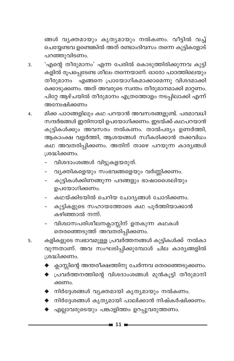ങ്ങൾ വൃക്തമായും കൃതൃമായും നൽകണം. വീട്ടിൽ വച്ച് ചെയ്യേണ്ടവ ഉണ്ടെങ്കിൽ അത് രണ്ടാംദിവസം തന്നെ കുട്ടികളോട് പറഞ്ഞുവിടണം.

- 'എന്റെ തീരുമാനം' എന്ന പേരിൽ കൊടുത്തിരിക്കുന്നവ കുട്ടി  $\overline{3}$ . കളിൽ രൂപപ്പെടേണ്ട ശീലം തന്നെയാണ്. ഓരോ പാഠത്തിലെയും തീരുമാനം എങ്ങനെ പ്രായോഗികമാക്കാമെന്നു വിശദമാക്കി ക്കൊടുക്കണം. അത് അവരുടെ സ്വന്തം തീരുമാനമാക്കി മാറ്റണം. പിറ്റേ ആഴ്ചയിൽ തീരുമാനം എത്രത്തോളം നടപ്പിലാക്കി എന്ന് അന്വേഷിക്കണം
- മിക്ക പാഠങ്ങളിലും കഥ പറയാൻ അവസരങ്ങളുണ്ട്. പരമാവധി 4. സന്ദർഭങ്ങൾ ഇതിനായി ഉപയോഗിക്കണം. ഇടയ്ക്ക് കഥപറയാൻ കുട്ടികൾക്കും അവസരം നൽകണം. താൽപര്യം ഉണർത്തി, ആകാംക്ഷ വളർത്തി, ആശയങ്ങൾ സ്ഥീകരിക്കാൻ തക്കവിധം കഥ അവതരിപ്പിക്കണം. അതിന് താഴെ പറയുന്ന കാര്യങ്ങൾ ശ്രദ്ധിക്കണം.
	- വിശദാംശങ്ങൾ വിട്ടുകളയരുത്.
	- വ്യക്തികളെയും സംഭവങ്ങളെയും വർണ്ണിക്കണം.
	- കുട്ടികൾക്കിണങ്ങുന്ന പദങ്ങളും ഭാഷാശൈലിയും ഉപയോഗിക്കണം.
	- കഥയ്ക്കിടയിൽ ചെറിയ ചോദ്യങ്ങൾ ചോദിക്കണം.
	- കുട്ടികളുടെ സഹായത്തോടെ കഥ പൂർത്തിയാക്കാൻ കഴിഞ്ഞാൽ നന്ന്.
	- വിശ്വാസപരിശീലനക്ലാസ്സിന് ഉതകുന്ന കഥകൾ തെരഞ്ഞെടുത്ത് അവതരിപ്പിക്കണം.
- കളികളുടെ സ്വഭാവമുള്ള പ്രവർത്തനങ്ങൾ കുട്ടികൾക്ക് നൽകാ 5. വുന്നതാണ്. അവ സംഘടിപ്പിക്കുമ്പോൾ ചില കാര്യങ്ങളിൽ ശ്രദ്ധിക്കണം.
	- ക്ലാസ്സിന്റെ അന്തരീക്ഷത്തിനു ചേർന്നവ തെരഞ്ഞെടുക്കണം.
	- $\blacklozenge$  പ്രവർത്തനത്തിന്റെ വിശദാംശങ്ങൾ മുൻകൂട്ടി തീരുമാനി ക്കണം.
	- $\blacklozenge$  നിർദ്ദേശങ്ങൾ വ്യക്തമായി കൃത്യമായും നൽകണം.
	- ▶ നിർദ്ദേശങ്ങൾ കൃത്യമായി പാലിക്കാൻ നിഷ്കർഷിക്കണം.
	- $\blacklozenge$  എല്ലാവരുടെയും പങ്കാളിത്തം ഉറപ്പുവരുത്തണം.

- 11 -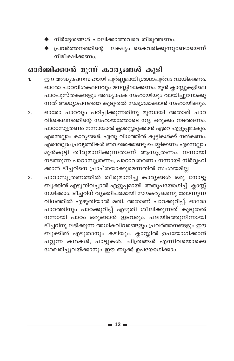- ▶ നിർദ്ദേശങ്ങൾ പാലിക്കാത്തവരെ തിരുത്തണ<mark>ം</mark>.
- $\blacklozenge$  പ്രവർത്തനത്തിന്റെ ലക്ഷ്യം കൈവരിക്കുന്നുണ്ടോയെന്ന് നിരീക്ഷിക്കണം.

## ഓർമ്മിക്കാൻ മൂന്ന് കാര്യങ്ങൾ കൂടി

- ഈ അദ്ധ്യാപനസഹായി പൂർണ്ണമായി ശ്രദ്ധാപൂർവം വായിക്കണം.  $\mathbf{1}$ ഓരോ പാഠവിശകലനവും മനസ്സിലാക്കണം. മുൻ ക്ലാസ്സുകളിലെ പാഠപുസ്തകങ്ങളും അദ്ധ്യാപക സഹായിയും വായിച്ചുനോക്കു .<br>ന്നത് അദ്ധ്യാപനത്തെ കൂടുതൽ സമഗ്രമാക്കാൻ സഹായിക്കും.
- ഓരോ പാഠവും പഠിപ്പിക്കുന്നതിനു മുമ്പായി അതാത് പാഠ  $\overline{2}$ . വിശകലനത്തിന്റെ സഹായത്തോടെ നല്ല ഒരുക്കം നടത്തണം. പാഠാസൂത്രണം നന്നായാൽ ക്ലാസ്സെടുക്കാൻ ഏറെ എളുപ്പമാകും. എന്തെല്ലാം കാര്യങ്ങൾ, ഏതു വിധത്തിൽ കുട്ടികൾക്ക് നൽകണം. എന്തെല്ലാം പ്രവൃത്തികൾ അവരെക്കൊണ്ടു ചെയ്യിക്കണം എന്നെല്ലാം മൂൻകൂട്ടി തീരുമാനിക്കുന്നതാണ് ആസൂത്രണം. നന്നായി നടത്തുന്ന പാഠാസൂത്രണം, പാഠാവതരണം നന്നായി നിർവ്വഹി ക്കാൻ ടീച്ചറിനെ പ്രാപ്തയാക്കുമെന്നതിൽ സംശയമില്ല.
- പാഠാസൂത്രണത്തിൽ തീരുമാനിച്ച കാര്യങ്ങൾ ഒരു നോട്ടു 3. ബുക്കിൽ എഴുതിവച്ചാൽ എളുപ്പമായി. അതുപയോഗിച്ച് ക്ലാസ്സ് നയിക്കാം. ടീച്ചറിന് വ്യക്തിപരമായി സൗകര്യമെന്നു തോന്നുന്ന വിധത്തിൽ എഴുതിയാൽ മതി. അതാണ് പാഠക്കുറിപ്പ്. ഓരോ പാഠത്തിനും പാഠക്കുറിപ്പ് എഴുതി ശീലിക്കുന്നത് കൂടുതൽ നന്നായി പാഠം ഒരുങ്ങാൻ ഇടവരും. പലയിടത്തുനിന്നായി ടീച്ചറിനു ലഭിക്കുന്ന അധികവിവരങ്ങളും പ്രവർത്തനങ്ങളും ഈ ബുക്കിൽ എഴുതാനും കഴിയും. ക്ലാസ്സിൽ ഉപയോഗിക്കാൻ പറ്റുന്ന കഥകൾ, പാട്ടുകൾ, ചിത്രങ്ങൾ എന്നിവയൊക്കെ ശേഖരിച്ചുവയ്ക്കാനും ഈ ബുക്ക് ഉപയോഗിക്കാം.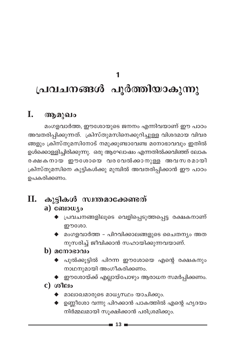# 1 പ്രവചനങ്ങൾ പൂർത്തിയാകുന്നു

#### I. ആമുഖം

മംഗളവാർത്ത, ഈശോയുടെ ജനനം എന്നിവയാണ് ഈ പാഠം അവതരിപ്പിക്കുന്നത്. ക്രിസ്തുമസിനെക്കുറിച്ചുള്ള വിശദമായ വിവര ങ്ങളും ക്രിസ്തുമസിനോട് നമുക്കുണ്ടാവേണ്ട മനോഭാവവും ഇതിൽ ഉൾക്കൊള്ളിച്ചിരിക്കുന്നു. ഒരു ആഘോഷം എന്നതിൽക്കവിഞ്ഞ് ലോക രക്ഷകനായ ഈശോയെ വരവേൽക്കാനുള്ള അവസരമായി ക്രിസ്തുമസിനെ കുട്ടികൾക്കു മുമ്പിൽ അവതരിപ്പിക്കാൻ ഈ പാഠം ഉപകരിക്കണം.

#### കുട്ടികൾ സ്വന്തമാക്കേണ്ടത് **II.**  $a)$  comous

- പ്രവചനങ്ങളിലൂടെ വെളിപ്പെടുത്തപ്പെട്ട രക്ഷകനാണ് ഈശോ.
- $\blacklozenge$  മംഗളവാർത്ത പിറവിക്കാലങ്ങളുടെ ചൈതന്യം അത നുസരിച്ച് ജീവിക്കാൻ സഹായിക്കുന്നവയാണ്.

### $\mathbf b)$  മനോഭാവം

- $\blacklozenge$  പുൽക്കൂട്ടിൽ പിറന്ന ഈശോയെ എന്റെ രക്ഷകനും നാഥനുമായി അംഗീകരിക്കണം.
- $\blacklozenge$  ഈശോയ്ക്ക് എല്ലായ്പോഴും ആരാധന സമർപ്പിക്കണം.
- $c)$  ശീലം
	- മാലാഖമാരുടെ മാധൃസ്ഥം യാചിക്കും.
	- $\blacklozenge$  ഉണ്ണീശോ വന്നു പിറക്കാൻ പാകത്തിൽ എന്റെ ഹൃദയം നിർമ്മലമായി സൂക്ഷിക്കാൻ പരിശ്രമിക്കും.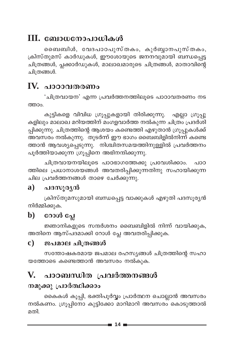## III. ബോധനോപാധികൾ

ബൈബിൾ, വേദപാഠപുസ്തകം, കുർബ്ബാനപുസ്തകം, ക്രിസ്തുമസ് കാർഡുകൾ, ഈശോയുടെ ജനനവുമായി ബന്ധപ്പെട്ട ചിത്രങ്ങൾ, പ്ലക്കാർഡുകൾ, മാലാഖമാരുടെ ചിത്രങ്ങൾ, മാതാവിന്റെ ചിത്രങ്ങൾ.

## IV. പാഠാവതരണം

'ചിത്രവായന' എന്ന പ്രവർത്തനത്തിലൂടെ പാഠാവതരണം നട ത്താപ

കുട്ടികളെ വിവിധ ഗ്രൂപ്പുകളായി തിരിക്കുന്നു. എല്ലാ ഗ്രൂപ്പു കളിലും മാലാഖ മറിയത്തിന് മംഗളവാർത്ത നൽകുന്ന ചിത്രം പ്രദർശി പ്പിക്കുന്നു. ചിത്രത്തിന്റെ ആശയം കണ്ടെത്തി എഴുതാൻ ഗ്രൂപ്പുകൾക്ക് അവസരം നൽകുന്നു. തുടർന്ന് ഈ ഭാഗം ബൈബിളിൽനിന്ന് കണ്ടെ ത്താൻ ആവശ്യപ്പെടുന്നു. നിശ്ചിതസമയത്തിനുള്ളിൽ പ്രവർത്തനം പൂർത്തിയാക്കുന്ന ഗ്രൂപ്പിനെ അഭിനന്ദിക്കുന്നു.

ചിത്രവായനയിലൂടെ പാഠഭാഗത്തേക്കു പ്രവേശിക്കാം. പാഠ ത്തിലെ പ്രധാനാശയങ്ങൾ അവതരിപ്പിക്കുന്നതിനു സഹായിക്കുന്ന ചില പ്രവർത്തനങ്ങൾ താഴെ ചേർക്കുന്നു.

#### $\mathbf{a}$ ) പദസൂര്യൻ

ക്രിസ്തുമസുമായി ബന്ധപ്പെട്ട വാക്കുകൾ എഴുതി പദസൂര്യൻ നിർമ്മിക്കുക.

#### റോൾ പ്ലേ  $\mathbf{b}$

ജ്ഞാനികളുടെ സന്ദർശനം ബൈബിളിൽ നിന്ന് വായിക്കുക, അതിനെ ആസ്പദമാക്കി റോൾ പ്ലേ അവതരിപ്പിക്കുക.

#### $\mathbf{c})$ ജപമാല ചിത്രങ്ങൾ

സന്തോഷകരമായ ജപമാല രഹസ്യങ്ങൾ ചിത്രത്തിന്റെ സഹാ യത്തോടെ കണ്ടെത്താൻ അവസരം നൽകൂക.

#### V. പാഠബന്ധിത പ്രവർത്തനങ്ങൾ

## നമുക്കു പ്രാർത്ഥിക്ക<mark>ാം</mark>

കൈകൾ കൂപ്പി, ഭക്തിപൂർവ്വം പ്രാർത്ഥന ചൊല്ലാൻ അവസരം നൽകണം. ഗ്രൂപ്പിനോ കുട്ടിക്കോ മാറിമാറി അവസരം കൊടുത്താൽ മതി.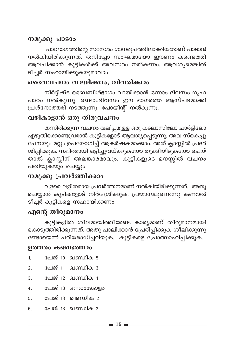#### നമുക്കു പാടാം

പാഠഭാഗത്തിന്റെ സന്ദേശം ഗാനരൂപത്തിലാക്കിയതാണ് പാടാൻ നൽകിയിരിക്കുന്നത്. തനിച്ചോ സംഘമായോ ഈണം കണ്ടെത്തി ആലപിക്കാൻ കുട്ടികൾക്ക് അവസരം നൽകണം. ആവശ്യമെങ്കിൽ ടീച്ചർ സഹായിക്കുകയുമാവാം.

### ദൈവവചനം വായിക്കാം, വിവരിക്കാം

നിർദിഷ്ട ബൈബിൾഭാഗം വായിക്കാൻ ഒന്നാം ദിവസം ഗൃഹ പാഠം നൽകുന്നു. രണ്ടാംദിവസം ഈ ഭാഗത്തെ ആസ്പദമാക്കി പ്രശ്നോത്തരി നടത്തുന്നു. പോയിന്റ് നൽകുന്നു.

### വഴികാട്ടാൻ ഒരു തിരുവചനം

തന്നിരിക്കുന്ന വചനം വലിപ്പമുള്ള ഒരു കടലാസിലോ ചാർട്ടിലോ എഴുതിക്കൊണ്ടുവരാൻ കുട്ടികളോട് ആവശ്യപ്പെടുന്നു. അവ സ്കെച്ചു പേനയും മറ്റും ഉപയോഗിച്ച് ആകർഷകമാക്കാം. അത് ക്ലാസ്സിൽ പ്രദർ ശിപ്പിക്കുക. സ്ഥിരമായി ഒട്ടിച്ചുവയ്ക്കുകയോ തൂക്കിയിടുകയോ ചെയ് താൽ ക്ലാസ്സിന് അലങ്കാരമാവും. കുട്ടികളുടെ മനസ്സിൽ വചനം പതിയുകയും ചെയ്യും

### നമുക്കു പ്രവർത്തിക്കാം

വളരെ ലളിതമായ പ്രവർത്തനമാണ് നൽകിയിരിക്കുന്നത്. അതു .<br>ചെയ്യാൻ കുട്ടികളോട് നിർദ്ദേശിക്കുക. പ്രയാസമുണ്ടെന്നു കണ്ടാൽ .<br>ടീച്ചർ കുട്ടികളെ സഹായിക്കണം

## എന്റെ തീരുമാനം

കുട്ടികളിൽ ശീലമായിത്തീരേണ്ട കാര്യമാണ് തീരുമാനമായി കൊടുത്തിരിക്കുന്നത്. അതു പാലിക്കാൻ പ്രേരിപ്പിക്കുക ശീലിക്കുന്നു ണ്ടോയെന്ന് പരിശോധിച്ചറിയുക. കുട്ടികളെ പ്രോത്സാഹിപ്പിക്കുക.

#### ഉത്തരം കണ്ടെത്താം

| $\mathbf{1}$ | പേജ് 10 ഖണ്ഡിക 5   |
|--------------|--------------------|
| 2.           | പേജ് 11 ഖണ്ഡിക 3   |
| 3.           | പേജ് 12 ഖണ്ഡിക 1   |
| 4.           | പേജ് 13 ഒന്നാംകോളം |
| 5.           | പേജ് 13 ഖണ്ഡിക 2   |
| 6.           | പേജ് 13 ഖണ്ഡിക 2   |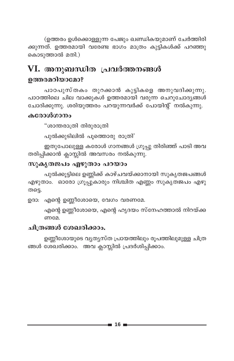(ഉത്തരം ഉൾക്കൊള്ളുന്ന പേജും ഖണ്ഡികയുമാണ് ചേർത്തിരി ക്കുന്നത്. ഉത്തരമായി വരേണ്ട ഭാഗം മാത്രം കുട്ടികൾക്ക് പറഞ്ഞു കൊടുത്താൽ മതി.)

## VI. അനുബന്ധിത പ്രവർത്തനങ്ങൾ ഉത്തരമറിയാമോ?

പാഠപുസ്തകം തുറക്കാൻ കുട്ടികളെ അനുവദിക്കുന്നു. പാഠത്തിലെ ചില വാക്കുകൾ ഉത്തരമായി വരുന്ന ചെറുചോദ്യങ്ങൾ ചോദിക്കുന്നു. ശരിയുത്തരം പറയുന്നവർക്ക് പോയിന്റ് നൽകുന്നു.

#### കരോൾഗാനം

"ശാന്തരാത്രി തിരുരാത്രി

പുൽക്കുടിലിൽ പൂത്തൊരു രാത്രി'

ഇതുപോലുള്ള കരോൾ ഗാനങ്ങൾ ഗ്രൂപ്പു തിരിഞ്ഞ് പാടി അവ തരിപ്പിക്കാൻ ക്ലാസ്സിൽ അവസരം നൽകുന്നു.

#### സുകൃതജപം എഴുതാം പറയാം

പുൽക്കൂട്ടിലെ ഉണ്ണിക്ക് കാഴ്ചവയ്ക്കാനായി സുകൃതജപങ്ങൾ എഴുതാം. ഓരോ ഗ്രൂപ്പുകാരും നിശ്ചിത എണ്ണം സുകൃതജപം എഴു തട്ടെ.

ഉദാ: എന്റെ ഉണ്ണീശോയെ, വേഗം വരണമേ.

എന്റെ ഉണ്ണീശോയെ, എന്റെ ഹൃദയം സ്നേഹത്താൽ നിറയ്ക്ക ണമേ.

#### ചിത്രങ്ങൾ ശേഖരിക്കാം.

ഉണ്ണീശോയുടെ വ്യത്യസ്ത പ്രായത്തിലും രൂപത്തിലുമുള്ള ചിത്ര ങ്ങൾ ശേഖരിക്കാം. അവ ക്ലാസ്സിൽ പ്രദർശിപ്പിക്കാം.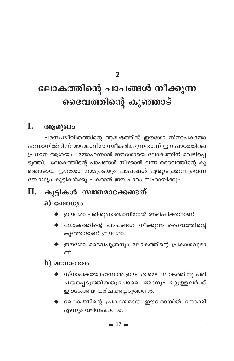$\mathcal{P}$ 

# ലോകത്തിന്റെ പാപങ്ങൾ നീക്കുന്ന ദൈവത്തിന്റെ കുഞ്ഞാട്

#### I. ആമുഖം

പരസ്യജീവിതത്തിന്റെ ആരംഭത്തിൽ ഈശോ സ്നാപകയോ ഹന്നാനിൽനിന്ന് മാമ്മോദീസ സ്വീകരിക്കുന്നതാണ് ഈ പാഠത്തിലെ പ്രധാന ആശയം. യോഹന്നാൻ ഈശോയെ ലോകത്തിന് വെളിപ്പെ ടുത്തി. ലോകത്തിന്റെ പാപങ്ങൾ നീക്കാൻ വന്ന ദൈവത്തിന്റെ കു ഞ്ഞാടായ ഈശോ നമ്മുടെയും പാപങ്ങൾ ഏറ്റെടുക്കുന്നുവെന്ന ബോധ്യം കുട്ടികൾക്കു പകരാൻ ഈ പാഠം സഹായിക്കും.

## II. കൂട്ടികൾ സ്വന്തമാക്കേണ്ടത്

### a)  $\omega_{\text{1}}$

- $\blacklozenge$  ഈശോ പരിശുദ്ധാത്മാവിനാൽ അഭിഷിക്തനാണ്.
- $\blacklozenge$  ലോകത്തിന്റെ പാപങ്ങൾ നീക്കുന്ന ദൈവത്തിന്റെ കുഞ്ഞാടാണ് ഈശോ.
- $\blacklozenge$  ഈശോ ദൈവപുത്രനും ലോകത്തിന്റെ പ്രകാശവുമാ ണ്

### $\bf{b)}$  acmosono

- $\blacklozenge$  സ്നാപകയോഹന്നാൻ ഈശോയെ ലോകത്തിനു പരി ചയപ്പെടുത്തിയതുപോലെ ഞാനും മറ്റുള്ളവർക്ക് ഈശോയെ പരിചയപ്പെടുത്തണം.
- ▶ ലോകത്തിന്റെ പ്രകാശമായ ഈശോയിൽ നോക്കി എന്നും വഴിനടക്കണം.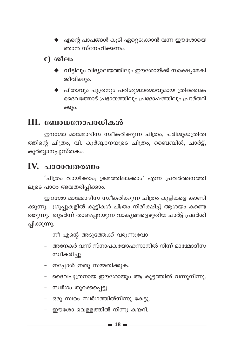$\blacklozenge$  എന്റെ പാപങ്ങൾ കൂടി ഏറ്റെടുക്കാൻ വന്ന ഈശോയെ ഞാൻ സ്നേഹിക്കണം.

 $c)$  ശീലം

- $\blacklozenge$  വീട്ടിലും വിദ്യാലയത്തിലും ഈശോയ്ക്ക് സാക്ഷ്യമേകി ജീവിക്കും.
- $\blacklozenge$  പിതാവും പുത്രനും പരിശുദ്ധാത്മാവുമായ ത്രിതൈക ദൈവത്തോട് പ്രഭാതത്തിലും പ്രദോഷത്തിലും പ്രാർത്ഥി ക്കും.

## $III.$  ബോധനോപാധികൾ

ഈശോ മാമ്മോദീസ സ്വീകരിക്കുന്ന ചിത്രം, പരിശുദ്ധത്രിത്വ ത്തിന്റെ ചിത്രം, വി. കുർബ്ബാനയുടെ ചിത്രം, ബൈബിൾ, ചാർട്ട്, കുർബ്ബാനപ്പുസ്തകം.

## IV. പാഠാവതരണം

'ചിത്രം വായിക്കാം; ക്രമത്തിലാക്കാം' എന്ന പ്രവർത്തനത്തി ലൂടെ പാഠം അവതരിപ്പിക്കാം.

ഈശോ മാമ്മോദീസ സ്വീകരിക്കുന്ന ചിത്രം കുട്ടികളെ കാണി ക്കുന്നു. ഗ്രൂപ്പുകളിൽ കുട്ടികൾ ചിത്രം നിരീക്ഷിച്ച് ആശയം കണ്ടെ ത്തുന്നു. തുടർന്ന് താഴെപ്പറയുന്ന വാക്യങ്ങളെഴുതിയ ചാർട്ട് പ്രദർശി പ്പിക്കുന്നു.

- നീ എന്റെ അടുത്തേക്ക് വരുന്നുവോ
- അനേകർ വന്ന് സ്നാപകയോഹന്നാനിൽ നിന്ന് മാമ്മോദീസ സ്വീകരിച്ചു
- ഇപ്പോൾ ഇതു സമ്മതിക്കുക.
- ദൈവപുത്രനായ ഈശോയും ആ കൂട്ടത്തിൽ വന്നുനിന്നു.
- സ്വർഗം തുറക്കപ്പെട്ടു.
- ഒരു സ്വരം സ്വർഗത്തിൽനിന്നു കേട്ടു.
- ഈശോ വെള്ളത്തിൽ നിന്നു കയറി.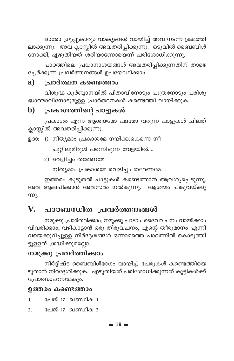ഓരോ ഗ്രൂപ്പുകാരും വാകൃങ്ങൾ വായിച്ച് അവ നടന്ന ക്രമത്തി ലാക്കുന്നു. അവ ക്ലാസ്സിൽ അവതരിപ്പിക്കുന്നു. ഒടുവിൽ ബൈബിൾ നോക്കി, എഴുതിയത് ശരിയാണോയെന്ന് പരിശോധിക്കുന്നു.

പാഠത്തിലെ പ്രധാനാശയങ്ങൾ അവതരിപ്പിക്കുന്നതിന് താഴെ ച്ചേർക്കുന്ന പ്രവർത്തനങ്ങൾ ഉപയോഗിക്കാം.

#### $\mathbf{a}$ ) പ്രാർത്ഥന കണ്ടെത്താം

വിശുദ്ധ കുർബ്ബാനയിൽ പിതാവിനോടും പുത്രനോടും പരിശു ദ്ധാത്മാവിനോടുമുള്ള പ്രാർത്ഥനകൾ കണ്ടെത്തി വായിക്കുക.

#### $\mathbf{b}$ പ്രകാശത്തിന്റെ പാട്ടുകൾ

പ്രകാശം എന്ന ആശയമോ പദമോ വരുന്ന പാട്ടുകൾ ചിലത് ക്ലാസ്സിൽ അവതരിപ്പിക്കുന്നു.

ഉദാ: 1) നിത്യമാം പ്രകാശമേ നയിക്കുകെന്നെ നീ

ചുറ്റിലുമിരുൾ പരന്നിടുന്ന വേളയിൽ....

2) വെളിച്ചം തരേണമേ

നിത്യമാം പ്രകാശമേ വെളിച്ചം തരേണമേ....

ഇത്തരം കൂടുതൽ പാട്ടുകൾ കണ്ടെത്താൻ ആവശ്യപ്പെടുന്നു. അവ ആലപിക്കാൻ അവസരം നൽകുന്നു. ആശയം പങ്കുവയ്ക്കു <u>ന്നു.</u>

#### പാഠബന്ധിത പ്രവർത്തനങ്ങൾ  $\mathbf{V}_{\cdot}$

നമുക്കു പ്രാർത്ഥിക്കാം, നമുക്കു പാടാം, ദൈവവചനം വായിക്കാം വിവരിക്കാം, വഴികാട്ടാൻ ഒരു തിരുവചനം, എന്റെ തീരുമാനം എന്നി വയെക്കുറിച്ചുള്ള നിർദ്ദേശങ്ങൾ ഒന്നാമത്തെ പാഠത്തിൽ കൊടുത്തി ട്ടുള്ളത് ശ്രദ്ധിക്കുമല്ലോ.

### നമുക്കു പ്രവർത്തിക്കാം

നിർദ്ദിഷ്ട ബൈബിൾഭാഗം വായിച്ച് പേരുകൾ കണ്ടെത്തിയെ ഴുതാൻ നിർദ്ദേശിക്കുക. എഴുതിയത് പരിശോധിക്കുന്നത് കുട്ടികൾക്ക് പ്രോത്സാഹനമേകും.

#### ഉത്തരം കണ്ടെത്താം

 $\mathbf{1}$ പേജ് 17 ഖണ്ഡിക 1

പേജ് 17 ഖണ്ഡിക 2  $2.$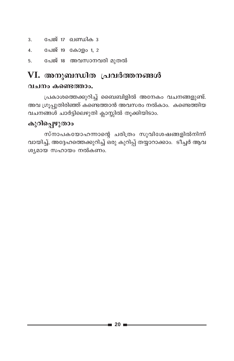- പേജ് 17 ഖണ്ഡിക 3  $3<sub>1</sub>$
- 4. പേജ് 19 കോളം 1, 2
- പേജ് 18 അവസാനവരി മുതൽ 5.

## VI. അനുബന്ധിത പ്രവർത്തനങ്ങൾ

#### വചനം കണ്ടെത്താം.

പ്രകാശത്തെക്കുറിച്ച് ബൈബിളിൽ അനേകം വചനങ്ങളുണ്ട്. അവ ഗ്രൂപ്പുതിരിഞ്ഞ് കണ്ടെത്താൻ അവസരം നൽകാം. കണ്ടെത്തിയ .<br>വചനങ്ങൾ ചാർട്ടിലെഴുതി ക്ലാസ്സിൽ തൂക്കിയിടാം.

### കുറിപ്പെഴുതാം

സ്നാപകയോഹന്നാന്റെ ചരിത്രം സുവിശേഷങ്ങളിൽനിന്ന് വായിച്ച്, അദ്ദേഹത്തെക്കുറിച്ച് ഒരു കുറിപ്പ് തയ്യാറാക്കാം. ടീച്ചർ ആവ ശ്യമായ സഹായം നൽകണം.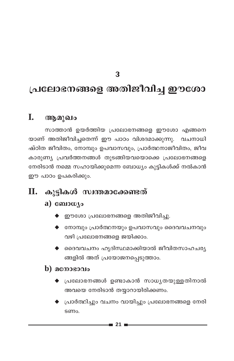**3**

## (പലോഭനങ്ങളെ അതിജീവിച്ച **ഈശോ**

### **I.** ആമുഖം

സാത്താൻ ഉയർത്തിയ പ്രലോഭനങ്ങളെ ഈശോ എങ്ങനെ യാണ് അതിജീവിച്ചതെന്ന് ഈ പാഠം വിശദമാക്കുന്നു. വചനാധി ഷ്ഠിത ജീവിതം, നോമ്പും ഉപവാസവും, പ്രാർത്ഥനാജീവിതം, ജീവ കാരുണ്യ പ്രവർത്തനങ്ങൾ തുടങ്ങിയവയൊക്കെ പ്രലോഭനങ്ങളെ നേരിടാൻ നമ്മെ സഹായിക്കുമെന്ന ബോധ്യം കുട്ടികൾക്ക് നൽകാൻ ഈ പാഠം ഉപകരിക്കും.

## **II. കുട്ടികൾ സ്വന്തമാക്കേണ്ടത്**

#### $a)$   $\omega_{\lambda}$

- $\blacklozenge$  ഈശോ പ്രലോഭനങ്ങളെ അതിജീവിച്ചു.
- $\blacklozenge$  നോമ്പും പ്രാർത്ഥനയും ഉപവാസവും ദൈവവചനവും വഴി പ്രലോഭനങ്ങളെ ജയിക്കാം.
- $\blacklozenge$  ദൈവവചനം ഹൃദിസ്ഥമാക്കിയാൽ ജീവിതസാഹചര്യ ങ്ങളിൽ അത് പ്രയോജനപ്പെടുത്താം.

#### $\mathbf b)$  **ac** more  $\mathbf a$

- $\blacklozenge$  പ്രലോഭനങ്ങൾ ഉണ്ടാകാൻ സാധ്യതയുള്ളതിനാൽ അവയെ നേരിടാൻ തയ്യാറായിരിക്കണം.
- പ്രാർത്ഥിച്ചും വചനം വായിച്ചും പ്രലോഭനങ്ങളെ നേരി Sണം.

**21**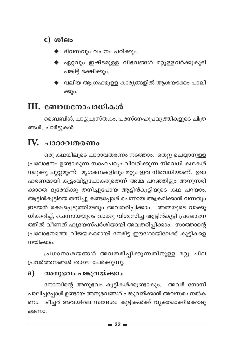- $c)$  ശീലം
	- ദിവസവും വചനം പഠിക്കും.
	- $\blacklozenge$  ഏറ്റവും ഇഷ്ടമുള്ള വിഭവങ്ങൾ മറ്റുള്ളവർക്കുകൂടി പങ്കിട്ട് ഭക്ഷിക്കും.
	- ▶ വലിയ ആഗ്രഹമുള്ള കാര്യങ്ങളിൽ ആശയടക്കം പാല<mark>ി</mark> ക്കും.

## III. ബോധനോപാധികൾ

ബൈബിൾ, പാട്ടുപുസ്തകം, പരസ്നേഹപ്രവൃത്തികളുടെ ചിത്ര ങ്ങൾ, ചാർട്ടുകൾ

## IV. പാഠാവതരണം

ഒരു കഥയിലൂടെ പാഠാവതരണം നടത്താം. തെറ്റു ചെയ്യാനുള്ള പ്രലോഭനം ഉണ്ടാകുന്ന സാഹചര്യം വിവരിക്കുന്ന നിരവധി കഥകൾ നമുക്കു ചുറ്റുമുണ്ട്. മൃഗകഥകളിലും മറ്റും ഇവ നിരവധിയാണ്. ഉദാ ഹരണമായി കൂട്ടംവിട്ടുപോകരുതെന്ന് അമ്മ പറഞ്ഞിട്ടും അനുസരി ക്കാതെ ദൂരേയ്ക്കു തനിച്ചുപോയ ആട്ടിൻകുട്ടിയുടെ കഥ പറയാം. ആട്ടിൻകുട്ടിയെ തനിച്ചു കണ്ടപ്പോൾ ചെന്നായ ആക്രമിക്കാൻ വന്നതും ഇടയൻ രക്ഷപ്പെടുത്തിയതും അവതരിപ്പിക്കാം. അമ്മയുടെ വാക്കു ധിക്കരിച്ച്, ചെന്നായയുടെ വാക്കു വിശ്വസിച്ച ആട്ടിൻകുട്ടി പ്രലോഭന ത്തിൽ വീണത് ഹൃദയസ്പർശിയായി അവതരിപ്പിക്കാം. സാത്താന്റെ പ്രലോഭനത്തെ വിജയകരമായി നേരിട്ട ഈശോയിലേക്ക് കുട്ടികളെ നയിക്കാം.

പ്രധാനാശയങ്ങൾ അവതരിപ്പിക്കുന്നതിനുള്ള മറ്റു ചില പ്രവർത്തനങ്ങൾ താഴെ ചേർക്കുന്നു.

#### $\mathbf{a}$ അനുഭവം പങ്കുവയ്ക്കാം

നോമ്പിന്റെ അനുഭവം കുട്ടികൾക്കുണ്ടാകും. അവർ നോമ്പ് പാലിച്ചപ്പോൾ ഉണ്ടായ അനുഭവങ്ങൾ പങ്കുവയ്ക്കാൻ അവസരം നൽക ണം. ടീച്ചർ അവയിലെ സന്ദേശം കുട്ടികൾക്ക് വ്യക്തമാക്കിക്കൊടു ക്കണം.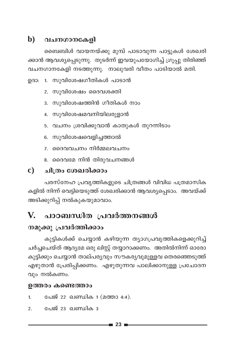### $\mathbf b$ ) വചനഗാനകേളി

ബൈബിൾ വായനയ്ക്കു മുമ്പ് പാടാവുന്ന പാട്ടുകൾ ശേഖരി ക്കാൻ ആവശ്യപ്പെടുന്നു. തുടർന്ന് ഇവയുപയോഗിച്ച് ഗ്രൂപ്പു തിരിഞ്ഞ് വചനഗാനകേളി നടത്തുന്നു. നാലുവരി വീതം പാടിയാൽ മതി.

ഉദാ: 1. സുവിശേഷഗീതികൾ പാടാൻ

- 2. സുവിശേഷം ദൈവശക്തി
- 3. സുവിശേഷത്തിൻ ഗീതികൾ നാം
- 4. സുവിശേഷമവനിയിലരുളാൻ
- 5. വചനം ശ്രവിക്കുവാൻ കാതുകൾ തുറന്നിടാം
- 6. സുവിശേഷവെളിച്ചത്താൽ
- 7. ദൈവവചനം നിർമ്മലവചനം
- 8. ദൈവമേ നിൻ തിരുവചനങ്ങൾ

#### ചിത്രം ശേഖരിക്കാം  $\mathbf{c}$ )

പരസ്നേഹ പ്രവൃത്തികളുടെ ചിത്രങ്ങൾ വിവിധ പത്രമാസിക കളിൽ നിന്ന് വെട്ടിയെടുത്ത് ശേഖരിക്കാൻ ആവശ്യപ്പെടാം. അവയ്ക്ക് അടിക്കുറിപ്പ് നൽകുകയുമാവാം.

#### $\mathbf{V}_{\cdot}$ പാഠബന്ധിത പ്രവർത്തനങ്ങൾ

### നമുക്കു പ്രവർത്തിക്കാം

കുട്ടികൾക്ക് ചെയ്യാൻ കഴിയുന്ന ത്യാഗപ്രവൃത്തികളെക്കുറിച്ച് ചർച്ചചെയ്ത് ആദ്യമേ ഒരു ലിസ്റ്റ് തയ്യാറാക്കണം. അതിൽനിന്ന് ഓരോ കുട്ടിക്കും ചെയ്യാൻ താല്പര്യവും സൗകര്യവുമുള്ളവ തെരഞ്ഞെടുത്ത് എഴുതാൻ പ്രേരിപ്പിക്കണം. എഴുതുന്നവ പാലിക്കാനുള്ള പ്രചോദന വും നൽകണം.

#### ഉത്തരം കണ്ടെത്താം

- പേജ് 22 ഖണ്ഡിക 1 (മത്താ 4:4).  $\mathbf{1}$
- പേജ് 23 ഖണ്ഡിക 3  $\mathcal{P}$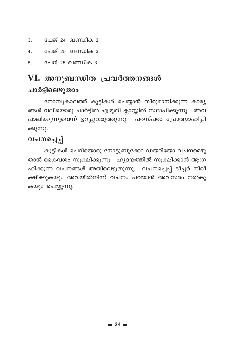- പേജ് 24 ഖണ്ഡിക 2  $\overline{3}$ .
- പേജ് 25 ഖണ്ഡിക 3  $\overline{4}$ .
- പേജ് 25 ഖണ്ഡിക 3 5.

## VI. അനുബന്ധിത പ്രവർത്തനങ്ങൾ ചാർട്ടിലെഴുതാം

നോമ്പുകാലത്ത് കുട്ടികൾ ചെയ്യാൻ തീരുമാനിക്കുന്ന കാര്യ ങ്ങൾ വലിയൊരു ചാർട്ടിൽ എഴുതി ക്ലാസ്സിൽ സ്ഥാപിക്കുന്നു. അവ പാലിക്കുന്നുവെന്ന് ഉറപ്പുവരുത്തുന്നു. പരസ്പരം പ്രോത്സാഹിപ്പി ക്കുന്നു.

## വചനച്ചെപ്പ്

കുട്ടികൾ ചെറിയൊരു നോട്ടുബുക്കോ ഡയറിയോ വചനമെഴു താൻ കൈവശം സൂക്ഷിക്കുന്നു. ഹൃദയത്തിൽ സൂക്ഷിക്കാൻ ആഗ്ര ഹിക്കുന്ന വചനങ്ങൾ അതിലെഴുതുന്നു. വചനച്ചെപ്പ് ടീച്ചർ നിരീ ക്ഷിക്കുകയും അവയിൽനിന്ന് വചനം പറയാൻ അവസരം നൽക<u>ു</u> കയും ചെയ്യുന്നു.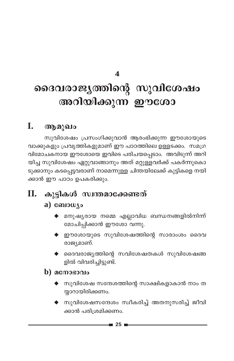$\boldsymbol{\Lambda}$ 

# ദൈവരാജ്യത്തിന്റെ സുവിശേഷം അറിയിക്കുന്ന ഈശോ

#### L. ആമുഖം

സുവിശേഷം പ്രസംഗിക്കുവാൻ ആരംഭിക്കുന്ന ഈശോയുടെ വാക്കുകളും പ്രവൃത്തികളുമാണ് ഈ പാഠത്തിലെ ഉള്ളടക്കം. സമഗ്ര വിമോചകനായ ഈശോയെ ഇവിടെ പരിചയപ്പെടാം. അവിടുന്ന് അറി യിച്ച സുവിശേഷം ഏറ്റുവാങ്ങാനും അത് മറ്റുള്ളവർക്ക് പകർന്നുകൊ ടുക്കാനും കടപ്പെട്ടവരാണ് നാമെന്നുള്ള ചിന്തയിലേക്ക് കുട്ടികളെ നയി ക്കാൻ ഈ പാഠം ഉപകരിക്കും.

## II. കുട്ടികൾ സ്വന്തമാക്കേണ്ടത്

### a) ബോധ്യം

- $\blacklozenge$  മനുഷ്യരായ നമ്മെ എല്ലാവിധ ബന്ധനങ്ങളിൽനിന്ന് മോചിപ്പിക്കാൻ ഈശോ വന്നു.
- $\blacklozenge$  ഈശോയുടെ സുവിശേഷത്തിന്റെ സാരാംശം ദൈവ രാജ്യമാണ്.
- $\blacklozenge$  ദൈവരാജ്യത്തിന്റെ സവിശേഷതകൾ സുവിശേഷങ്ങ ളിൽ വിവരിച്ചിട്ടുണ്ട്.

### $\bf{b})$  acmosono

- $\blacklozenge$  സുവിശേഷ സന്ദേശത്തിന്റെ സാക്ഷികളാകാൻ നാം ത യ്യാറായിരിക്കണം.
- $\blacklozenge$  സുവിശേഷസന്ദേശം സ്വീകരിച്ച് അതനുസരിച്ച് ജീവി ക്കാൻ പരിശ്രമിക്കണം.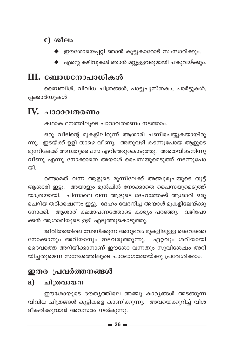### $c)$  ശീലം

- ♦ ഈശോയെപ്പറ്റി ഞാൻ കൂട്ടുകാരോട് സംസാരിക്കും.
- $\blacklozenge$  എന്റെ കഴിവുകൾ ഞാൻ മറ്റുള്ളവരുമായി പങ്കുവയ്ക്കും.

## $III.$  ബോധനോപാധികൾ

ബൈബിൾ, വിവിധ ചിത്രങ്ങൾ, പാട്ടുപുസ്തകം, ചാർട്ടുകൾ, പ്ലക്കാർഡുകൾ

## IV. പാഠാവതരണം

കഥാകഥനത്തിലൂടെ പാഠാവതരണം നടത്താം.

ഒരു വീടിന്റെ മുകളിലിരുന്ന് ആശാരി പണിചെയ്യുകയായിരു ഇടയ്ക്ക് ഉളി താഴെ വീണു. അതുവഴി കടന്നുപോയ ആളുടെ ന്നു. മുന്നിലേക്ക് അമ്പതുപൈസ എറിഞ്ഞുകൊടുത്തു. അതെവിടെനിന്നു വീണു എന്നു നോക്കാതെ അയാൾ പൈസയുമെടുത്ത് നടന്നുപോ തി.

രണ്ടാമത് വന്ന ആളുടെ മുന്നിലേക്ക് അഞ്ചുരൂപയുടെ തുട്ട് ആശാരി ഇട്ടു. അയാളും മുൻപിൻ നോക്കാതെ പൈസയുമെടുത്ത് യാത്രയായി. പിന്നാലെ വന്ന ആളുടെ ദേഹത്തേക്ക് ആശാരി ഒരു ചെറിയ തടിക്കഷണം ഇട്ടു. ദേഹം വേദനിച്ച അയാൾ മുകളിലേയ്ക്കു നോക്കി. ആശാരി ക്ഷമാപണത്തോടെ കാര്യം പറഞ്ഞു. വഴിപോ ക്കൻ ആശാരിയുടെ ഉളി എടുത്തുകൊടുത്തു.

ജീവിതത്തിലെ വേദനിക്കുന്ന അനുഭവം മുകളിലുള്ള ദൈവത്തെ നോക്കാനും അറിയാനും ഇടവരുത്തുന്നു. ഏറ്റവും ശരിയായി ദൈവത്തെ അറിയിക്കാനാണ് ഈശോ വന്നതും സുവിശേഷം അറി യിച്ചതുമെന്ന സന്ദേശത്തിലൂടെ പാഠഭാഗത്തേയ്ക്കു പ്രവേശിക്കാം.

## ഇതര പ്രവർത്തനങ്ങൾ

#### ചിത്രവായന a)

ഈശോയുടെ ദൗതൃത്തിലെ അഞ്ചു കാരൃങ്ങൾ അടങ്ങുന്ന വിവിധ ചിത്രങ്ങൾ കുട്ടികളെ കാണിക്കുന്നു. അവയെക്കുറിച്ച് വിശ ദീകരിക്കുവാൻ അവസരം നൽകുന്നു.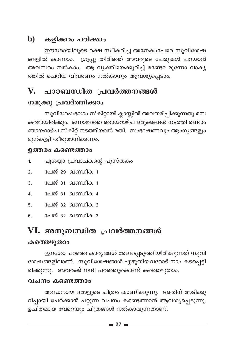## $\mathbf b$ ) കളിക്കാം പഠിക്കാം

ഈശോയിലുടെ രക്ഷ സ്വീകരിച്ച അനേകംപേരെ സുവിശേഷ ങ്ങളിൽ കാണാം. ഗ്രൂപ്പു തിരിഞ്ഞ് അവരുടെ പേരുകൾ പറയാൻ അവസരം നൽകാം. ആ വ്യക്തിയെക്കുറിച്ച് രണ്ടോ മൂന്നോ വാക്യ ത്തിൽ ചെറിയ വിവരണം നൽകാനും ആവശ്യപ്പെടാം.

## V. പാഠബന്ധിത പ്രവർത്തനങ്ങൾ

### നമുക്കു പ്രവർത്തിക്കാം

സുവിശേഷഭാഗം സ്കിറ്റായി ക്ലാസ്സിൽ അവതരിപ്പിക്കുന്നതു രസ കരമായിരിക്കും. ഒന്നാമത്തെ ഞായറാഴ്ച ഒരുക്കങ്ങൾ നടത്തി രണ്ടാം ഞായറാഴ്ച സ്കിറ്റ് നടത്തിയാൽ മതി. സംഭാഷണവും ആംഗൃങ്ങളും മുൻകൂട്ടി തീരുമാനിക്കണം.

### ഉത്തരം കണ്ടെത്താം

- ഏശയ്യാ പ്രവാചകന്റെ പുസ്തകം  $\mathbf{1}$
- പേജ് 29 ഖണ്ഡിക 1  $\mathcal{P}$
- പേജ് 31 ഖണ്ഡിക 1  $3<sub>1</sub>$
- പേജ് 31 ഖണ്ഡിക 4  $\overline{4}$ .
- 5 പേജ് 32 ബ്രെസിക 2
- പേജ് 32 ഖണ്ഡിക 3 6.

## VI. അനുബന്ധിത പ്രവർത്തനങ്ങൾ

### കത്തെഴുതാം

ഈശോ പറഞ്ഞ കാര്യങ്ങൾ രേഖപ്പെടുത്തിയിരിക്കുന്നത് സുവി ശേഷങ്ങളിലാണ്. സുവിശേഷങ്ങൾ എഴുതിയവരോട് നാം കടപ്പെട്ടി രിക്കുന്നു. അവർക്ക് നന്ദി പറഞ്ഞുകൊണ്ട് കത്തെഴുതാം.

### വചനം കണ്ടെത്താം

അന്ധനായ ഒരാളുടെ ചിത്രം കാണിക്കുന്നു. അതിന് അടിക്കു റിപ്പായി ചേർക്കാൻ പറ്റുന്ന വചനം കണ്ടെത്താൻ ആവശ്യപ്പെടുന്നു. ഉചിതമായ വേറെയും ചിത്രങ്ങൾ നൽകാവുന്നതാണ്.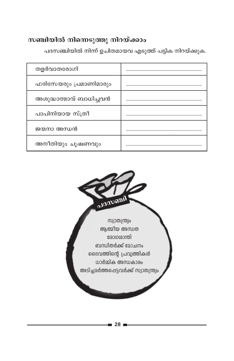### സഞ്ചിയിൽ നിന്നെടുത്തു നിറയ്ക്കാം

തളർവാതരോഗി ഫരിസേയരും പ്രമാണിമാരും അശുദ്ധാത്മാവ് ബാധിച്ചവൻ പാപിനിയായ സ്ത്രീ ജന്മനാ അന്ധൻ അനീതിയും ചൂഷണവും

പദസഞ്ചിയിൽ നിന്ന് ഉചിതമായവ എടുത്ത് പട്ടിക നിറയ്ക്കുക.

algnoon സ്വാതന്ത്ര്വം ആത്മീയ അന്ധത രോഗശാന്തി ബന്ധിതർക്ക് മോചനം ദൈവത്തിന്റെ പ്രവ്യത്തികൾ ധാർമ്മിക അന്ധകാരം അടിച്ചമർത്തപ്പെട്ടവർക്ക് സ്വാതന്ത്ര്യം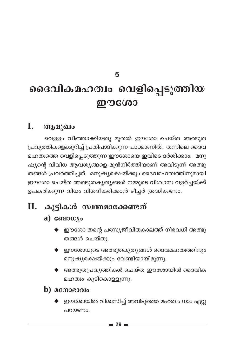5

# ദൈവികമഹത്വം വെളിപ്പെടുത്തിയ ഈശോ

#### I. ആമുഖം

വെള്ളം വീഞ്ഞാക്കിയതു മുതൽ ഈശോ ചെയ്ത അത്ഭുത പ്രവൃത്തികളെക്കുറിച്ച് പ്രതിപാദിക്കുന്ന പാഠമാണിത്. തന്നിലെ ദൈവ മഹത്വത്തെ വെളിപ്പെടുത്തുന്ന ഈശോയെ ഇവിടെ ദർശിക്കാം. മനു ഷ്യന്റെ വിവിധ ആവശ്യങ്ങളെ മുൻനിർത്തിയാണ് അവിടുന്ന് അത്ഭു തങ്ങൾ പ്രവർത്തിച്ചത്. മനുഷ്യരക്ഷയ്ക്കും ദൈവമഹത്വത്തിനുമായി ഈശോ ചെയ്ത അത്ഭുതകൃത്യങ്ങൾ നമ്മുടെ വിശ്വാസ വളർച്ചയ്ക്ക് ഉപകരിക്കുന്ന വിധം വിശദീകരിക്കാൻ ടീച്ചർ ശ്രദ്ധിക്കണം.

#### II. കൂട്ടികൾ സ്വന്തമാക്കേണ്ടത്

### $a)$  compute

- $\blacklozenge$  ഈശോ തന്റെ പത്സ്യജീവിതകാലത്ത് നിരവധി അത്ഭു തങ്ങൾ ചെയ്തു.
- $\blacklozenge$  ഈശോയുടെ അത്ഭുതകൃത്യങ്ങൾ ദൈവമഹത്വത്തിനും മനുഷ്യരക്ഷയ്ക്കും വേണ്ടിയായിരുന്നു.
- $\blacklozenge$  അത്ഭുതപ്രവൃത്തികൾ ചെയ്ത ഈശോയിൽ ദൈവിക മഹത്വം കുടികൊള്ളുന്നു.
- $\mathbf b)$  acmosono
	- ഈശോയിൽ വിശ്വസിച്ച് അവിടുത്തെ മഹത്വം നാം ഏറ്റു പറയണം.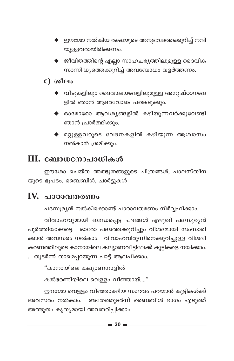- <mark>♦</mark> ഈശോ നൽകിയ രക്ഷയുടെ അനുഭവത്തെക്കുറിച്ച് നന്ദി യുളളവരായിരിക്കണം.
- $\blacklozenge$  ജീവിതത്തിന്റെ എല്ലാ സാഹചര്യത്തിലുമുള്ള ദൈവിക സാന്നിദ്ധ്യത്തെക്കുറിച്ച് അവബോധം വളർത്തണം.

### $c)$  ശീലം

- വീടുകളിലും ദൈവാലയങ്ങളിലുമുള്ള അനുഷ്ഠാനങ്ങ ളിൽ ഞാൻ ആദരവോടെ പങ്കെടുക്കും.
- $\blacklozenge$  ഓരോരോ ആവശ്യങ്ങളിൽ കഴിയുന്നവർക്കുവേണ്ടി ഞാൻ പ്രാർത്ഥിക്കും.
- മറ്റുള്ളവരുടെ വേദനകളിൽ കഴിയുന്ന ആശ്വാസം നൽകാൻ ശ്രമിക്കും.

## **III. ബോധനോപാധികൾ**

ഈശോ ചെയ്ത അത്ഭുതങ്ങളുടെ ചിത്രങ്ങൾ, പാലസ്തീന യുടെ ഭൂപടം, ബൈബിൾ, ചാർട്ടുകൾ

## IV. പാഠാവതരണം

പദസുര്യൻ നൽകിക്കൊണ്ട് പാഠാവതരണം നിർവഹിക്കാം.

വിവാഹവുമായി ബന്ധപ്പെട്ട പദങ്ങൾ എഴുതി പദസൂര്യൻ പൂർത്തിയാക്കട്ടെ. ഓരോ പദത്തെക്കുറിച്ചും വിശദമായി സംസാരി ക്കാൻ അവസരം നൽകാം. വിവാഹവിരുന്നിനെക്കുറിച്ചുള്ള വിശദീ കരണത്തിലൂടെ കാനായിലെ കല്യാണവീട്ടിലേക്ക് കുട്ടികളെ നയിക്കാം. തുടർന്ന് താഴെപ്പറയുന്ന പാട്ട് ആലപിക്കാം.

"കാനായിലെ കല്യാണനാളിൽ

കൽഭരണിയിലെ വെള്ളം വീഞ്ഞായ്...."

ഈശോ വെള്ളം വീഞ്ഞാക്കിയ സംഭവം പറയാൻ കുട്ടികൾക്ക് അവസരം നൽകാം. അതേത്തുടർന്ന് ബൈബിൾ ഭാഗം എടുത്ത് അത്ഭുതം കൃത്യമായി അവതരിപ്പിക്കാം.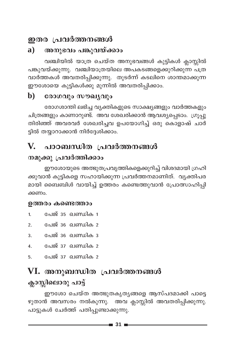## ഇതര പ്രവർത്തനങ്ങൾ

#### $a)$ അനുഭവം പങ്കുവയ്ക്കാം

വഞ്ചിയിൽ യാത്ര ചെയ്ത അനുഭവങ്ങൾ കുട്ടികൾ ക്ലാസ്സിൽ പങ്കുവയ്ക്കുന്നു. വഞ്ചിയാത്രയിലെ അപകടങ്ങളെക്കുറിക്കുന്ന പത്ര വാർത്തകൾ അവതരിപ്പിക്കുന്നു. തുടർന്ന് കടലിനെ ശാന്തമാക്കുന്ന ഈശോയെ കുട്ടികൾക്കു മുന്നിൽ അവതരിപ്പിക്കാം.

#### $\mathbf{b}$ രോഗവും സൗഖ്യവും

രോഗശാന്തി ലഭിച്ച വ്യക്തികളുടെ സാക്ഷ്യങ്ങളും വാർത്തകളും ചിത്രങ്ങളും കാണാറുണ്ട്. അവ ശേഖരിക്കാൻ ആവശ്യപ്പെടാം. ഗ്രൂപ്പു തിരിഞ്ഞ് അവരവർ ശേഖരിച്ചവ ഉപയോഗിച്ച് ഒരു കൊളാഷ് ചാർ ട്ടിൽ തയ്യാറാക്കാൻ നിർദ്ദേശിക്കാം.

## V. പാഠബന്ധിത പ്രവർത്തനങ്ങൾ

### നമുക്കു പ്രവർത്തിക്കാം

ഈശോയുടെ അത്ഭുതപ്രവൃത്തികളെക്കുറിച്ച് വിശദമായി ഗ്രഹി ക്കുവാൻ കുട്ടികളെ സഹായിക്കുന്ന പ്രവർത്തനമാണിത്. വ്യക്തിപര മായി ബൈബിൾ വായിച്ച് ഉത്തരം കണ്ടെത്തുവാൻ പ്രോത്സാഹിപ്പി ക്കണം.

#### ഉത്തരം കണ്ടെത്താം

- പേജ് 35 ഖണ്ഡിക 1  $1<sub>1</sub>$
- പേജ് 36 ഖണ്ഡിക 2  $2.$
- പേജ് 36 ഖണ്ഡിക 3  $\overline{3}$
- പേജ് 37 ഖണ്ഡിക 2  $4.$
- പേജ് 37 ഖണ്ഡിക 2 5.

## VI. അനുബന്ധിത പ്രവർത്തനങ്ങൾ ക്ലാസ്സിലൊരു പാട്ട്

ഈശോ ചെയ്ത അത്ഭുതകൃതൃങ്ങളെ ആസ്പദമാക്കി പാട്ടെ ഴുതാൻ അവസരം നൽകുന്നു. അവ ക്ലാസ്സിൽ അവതരിപ്പിക്കുന്നു. പാട്ടുകൾ ചേർത്ത് പതിപ്പുണ്ടാക്കുന്നു.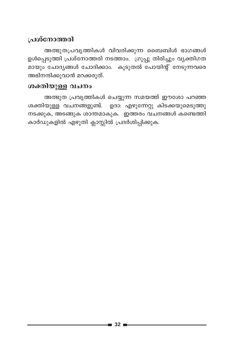### പ്രശ്നോത്തരി

അത്ഭുതപ്രവൃത്തികൾ വിവരിക്കുന്ന ബൈബിൾ ഭാഗങ്ങൾ ഉൾപ്പെടുത്തി പ്രശ്നോത്തരി നടത്താം. ഗ്രൂപ്പു തിരിച്ചും വ്യക്തിഗത മായും ചോദ്യങ്ങൾ ചോദിക്കാം. കൂടുതൽ പോയിന്റ് നേടുന്നവരെ അഭിനന്ദിക്കുവാൻ മറക്കരുത്.

#### ശക്തിയുള്ള വചനം

അത്ഭുത പ്രവൃത്തികൾ ചെയ്യുന്ന സമയത്ത് ഈശോ പറഞ്ഞ ശക്തിയുള്ള വചനങ്ങളുണ്ട്. ഉദാ: എഴുന്നേറ്റു കിടക്കയുമെടുത്തു നടക്കുക, അടങ്ങുക ശാന്തമാകുക. ഇത്തരം വചനങ്ങൾ കണ്ടെത്തി കാർഡുകളിൽ എഴുതി ക്ലാസ്സിൽ പ്രദർശിപ്പിക്കുക.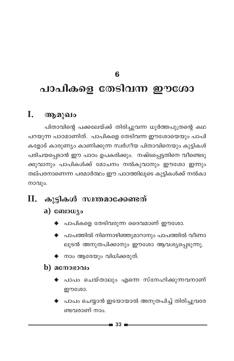6

# പാപികളെ തേടിവന്ന ഈശോ

#### I. ആമുഖം

പിതാവിന്റെ പക്കലേയ്ക്ക് തിരിച്ചുവന്ന ധൂർത്തപുത്രന്റെ കഥ പറയുന്ന പാഠമാണിത്. പാപികളെ തേടിവന്ന ഈശോയെയും പാപി കളോട് കാരുണ്യം കാണിക്കുന്ന സ്വർഗീയ പിതാവിനെയും കുട്ടികൾ പരിചയപ്പെടാൻ ഈ പാഠം ഉപകരിക്കും. നഷ്ടപ്പെട്ടതിനെ വീണ്ടെടു ക്കുവാനും പാപികൾക്ക് മോചനം നൽകുവാനും ഈശോ ഇന്നും തല്പരനാണെന്ന പരമാർത്ഥം ഈ പാഠത്തിലൂടെ കുട്ടികൾക്ക് നൽകാ നാവും.

## $II.$  കുട്ടികൾ സ്വന്തമാക്കേണ്ടത്

- a)  $\omega_{\text{10}}$ 
	- $\blacklozenge$  പാപികളെ തേടിവരുന്ന ദൈവമാണ് ഈശോ.
	- $\blacklozenge$  പാപത്തിൽ നിന്നൊഴിഞ്ഞുമാറാനും പാപത്തിൽ വീണാ ലുടൻ അനുതപിക്കാനും ഈശോ ആവശ്യപ്പെടുന്നു.
	- ◆ നാം ആരേയും വിധിക്കരുത്.
- $\mathbf b)$  acmosoolo
	- ♦ പാപം ചെയ്താലും എന്നെ സ്നേഹിക്കുന്നവനാണ് ഈശോ.
	- $\blacklozenge$  പാപം ചെയ്യാൻ ഇടയായാൽ അനുതപിച്ച് തിരിച്ചുവരേ ണ്ടവരാണ് നാം.

 $\blacksquare$  33  $\blacksquare$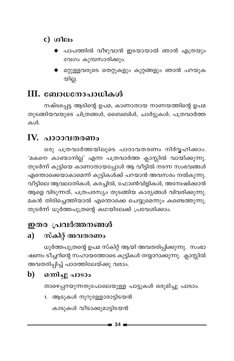- c) ശീലം
	- പാപത്തിൽ വീഴുവാൻ ഇടയായാൽ ഞാൻ എത്രയും വേഗം കുമ്പസാരിക്കും.
	- $\blacklozenge$  മറ്റുള്ളവരുടെ തെറ്റുകളും കുറ്റങ്ങളും ഞാൻ പറയുക യില്ല.

## III. ബോധനോപാധികൾ

നഷ്ടപ്പെട്ട ആടിന്റെ ഉപമ, കാണാതായ നാണയത്തിന്റെ ഉപമ തുടങ്ങിയവയുടെ ചിത്രങ്ങൾ, ബൈബിൾ, ചാർട്ടുകൾ, പത്രവാർത്ത കൾ.

## IV. പാഠാവതരണം

ഒരു പത്രവാർത്തയിലൂടെ പാഠാവതരണം നിർവ്വഹിക്കാം. 'മകനെ കാണ്മാനില്ല' എന്ന പത്രവാർത്ത ക്ലാസ്സിൽ വായിക്കുന്നു. തുടർന്ന് കുട്ടിയെ കാണാതായപ്പോൾ ആ വീട്ടിൽ നടന്ന സംഭവങ്ങൾ എന്തൊക്കെയാകാമെന്ന് കുട്ടികൾക്ക് പറയാൻ അവസരം നൽകുന്നു. വീട്ടിലെ ആവലാതികൾ, കരച്ചിൽ, ഫോൺവിളികൾ, അന്വേഷിക്കാൻ ആളെ വിടുന്നത്, പത്രപരസ്യം തുടങ്ങിയ കാര്യങ്ങൾ വിവരിക്കുന്നു. മകൻ തിരിച്ചെത്തിയാൽ എന്തൊക്കെ ചെയ്യുമെന്നും കണ്ടെത്തുന്നു. തുടർന്ന് ധൂർത്തപുത്രന്റെ കഥയിലേക്ക് പ്രവേശിക്കാം.

## ഇതര പ്രവർത്തനങ്ങൾ

#### സ്കിറ്റ് അവതരണം a)

ധൂർത്തപുത്രന്റെ ഉപമ സ്കിറ്റ് ആയി അവതരിപ്പിക്കുന്നു. സംഭാ ഷണം ടീച്ചറിന്റെ സഹായത്തോടെ കുട്ടികൾ തയ്യാറാക്കുന്നു. ക്ലാസ്സിൽ അവതരിപ്പിച്ച് പാഠത്തിലേയ്ക്കു വരാം.

#### ഒന്നിച്ചു പാടാം  $$

താഴെപ്പറയുന്നതുപോലെയുള്ള പാട്ടുകൾ ഒരുമിച്ചു പാടാം.

1. ആടുകൾ നൂറുള്ളോരാട്ടിടയൻ

കാടുകൾ വീടാക്കുമാട്ടിടയൻ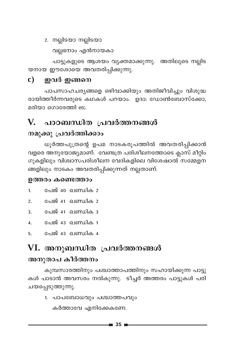2. നല്ലിടയാ നല്ലിടയാ

വല്ലനോം എൻനായകാ

പാട്ടുകളുടെ ആശയം വ്യക്തമാക്കുന്നു. അതിലൂടെ നല്ലിട യനായ ഈശോയെ അവതരിപ്പിക്കുന്നു.

#### $\mathbf{c}$ ഇവർ ഇങ്ങനെ

പാപസാഹചര്യങ്ങളെ ഒഴിവാക്കിയും അതിജീവിച്ചും വിശുദ്ധ രായിത്തീർന്നവരുടെ കഥകൾ പറയാം. ഉദാ: ഡോൺബോസ്ക്കോ, മരിയാ ഗൊരേത്തി etc.

#### പാഠബന്ധിത പ്രവർത്തനങ്ങൾ V.

### നമുക്കു പ്രവർത്തിക്കാം

ധൂർത്തപുത്രന്റെ ഉപമ നാടകരൂപത്തിൽ അവതരിപ്പിക്കാൻ വളരെ അനുയോജ്യമാണ്. വേണ്ടത്ര പരിശീലനത്തോടെ ക്ലാസ് മീറ്റിം ഗുകളിലും വിശ്വാസപരിശീലന വേദികളിലെ വിശേഷാൽ സമ്മേളന ങ്ങളിലും നാടകം അവതരിപ്പിക്കുന്നത് നല്ലതാണ്.

### ഉത്തരം കണ്ടെത്താം

- പേജ് 40 ഖണ്ഡിക 2  $\mathbf{1}$
- പേജ് 41 ഖണ്ഡിക 2  $\mathcal{P}$
- പേജ് 41 ഖണ്ഡിക 3  $\overline{3}$ .
- പേജ് 43 ഖണ്ഡിക 1  $\mathbf{4}$ .
- പേജ് 43 ഖണ്ഡിക 4 5.

## VI. അനുബന്ധിത പ്രവർത്തനങ്ങൾ

### അനുതാപ കീർത്തനം

കുമ്പസാരത്തിനും പശ്ചാത്താപത്തിനും സഹായിക്കുന്ന പാട്ടു കൾ പാടാൻ അവസരം നൽകുന്നു. ടീച്ചർ അത്തരം പാട്ടുകൾ പരി ചയപ്പെടുത്തുന്നു.

1. പാപബോധവും പശ്ചാത്തപവും

കർത്താവേ എനിക്കേകണേ.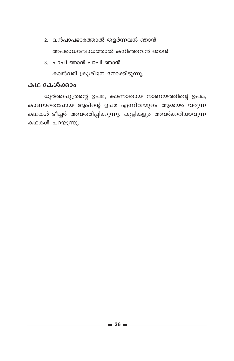- 2. വൻപാപഭാരത്താൽ തളർന്നവൻ ഞാൻ അപരാധബോധത്താൽ കനിഞ്ഞവൻ ഞാൻ
- 3. പാപി ഞാൻ പാപി ഞാൻ കാൽവരി ക്രൂശിനെ നോക്കിടുന്നു.

#### കഥ കേൾക്കാം

ധൂർത്തപുത്രന്റെ ഉപമ, കാണാതായ നാണയത്തിന്റെ ഉപമ, കാണാതെപോയ ആടിന്റെ ഉപമ എന്നിവയുടെ ആശയം വരുന്ന കഥകൾ ടീച്ചർ അവതരിപ്പിക്കുന്നു. കുട്ടികളും അവർക്കറിയാവുന്ന കഥകൾ പറയുന്നു.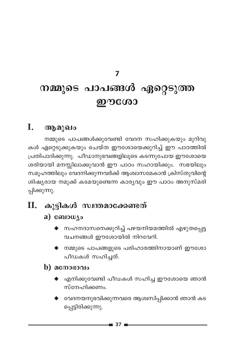### $\overline{7}$

# നമ്മുടെ പാപങ്ങൾ ഏറ്റെടുത്ത றூரே

#### L. ആമുഖം

നമ്മുടെ പാപങ്ങൾക്കുവേണ്ടി വേദന സഹിക്കുകയും മുറിവു കൾ ഏറ്റെടുക്കുകയും ചെയ്ത ഈശോയെക്കുറിച്ച് ഈ പാഠത്തിൽ പ്രതിപാദിക്കുന്നു. പീഡാനുഭവങ്ങളിലൂടെ കടന്നുപോയ ഈശോയെ ശരിയായി മനസ്സിലാക്കുവാൻ ഈ പാഠം സഹായിക്കും. സഭയിലും സമൂഹത്തിലും വേദനിക്കുന്നവർക്ക് ആശ്വാസമേകാൻ ക്രിസ്തുവിന്റെ ശിഷ്യരായ നമുക്ക് കടമയുണ്ടെന്ന കാര്യവും ഈ പാഠം അനുസ്മരി പ്പിക്കുന്നു.

## $\mathbf{II}$ . കുട്ടികൾ സ്വന്തമാക്കേണ്ടത്

### $a)$  comowyo

- സഹനദാസനെക്കുറിച്ച് പഴയനിയമത്തിൽ എഴുതപ്പെട്ട വചനങ്ങൾ ഈശോയിൽ നിറവേറി.
- $\blacklozenge$  നമ്മുടെ പാപങ്ങളുടെ പരിഹാരത്തിനായാണ് ഈശോ പീഡകൾ സഹിച്ചത്.

### $\bf{b})$  acmosono

- $\blacklozenge$  എനിക്കുവേണ്ടി പീഡകൾ സഹിച്ച ഈശോയെ ഞാൻ സ്നേഹിക്കണം.
- $\blacklozenge$  വേദനയനുഭവിക്കുന്നവരെ ആശ്വസിപ്പിക്കാൻ ഞാൻ കട പ്പെട്ടിരിക്കുന്നു.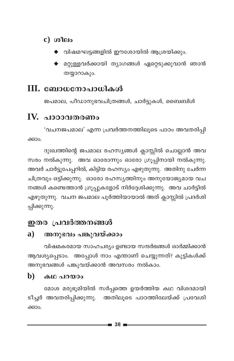### $c)$  ശീലം

- $\blacklozenge$  വിഷമഘട്ടങ്ങളിൽ ഈശോയിൽ ആശ്രയിക്കും.
- $\blacklozenge$  മറ്റുള്ളവർക്കായി ത്യാഗങ്ങൾ ഏറ്റെടുക്കുവാൻ ഞാൻ തയ്യാറാകും.

## III. ബോധനോപാധികൾ

ജപമാല, പീഡാനുഭവചിത്രങ്ങൾ, ചാർട്ടുകൾ, ബൈബിൾ

## $\mathbf{IV}_{\cdot}$  ചാറാവതരണം

'വചനജപമാല' എന്ന പ്രവർത്തനത്തിലൂടെ പാഠം അവതരിപ്പി ക്കാം.

ദുഃഖത്തിന്റെ ജപമാല രഹസ്യങ്ങൾ ക്ലാസ്സിൽ ചൊല്ലാൻ അവ സരം നൽകുന്നു. അവ ഓരോന്നും ഓരോ ഗ്രൂപ്പിനായി നൽകുന്നു. അവർ ചാർട്ടുപേപ്പറിൽ, കിട്ടിയ രഹസ്യം എഴുതുന്നു. അതിനു ചേർന്ന ചിത്രവും ഒട്ടിക്കുന്നു. ഓരോ രഹസ്യത്തിനും അനുയോജ്യമായ വച നങ്ങൾ കണ്ടെത്താൻ ഗ്രൂപ്പുകളോട് നിർദ്ദേശിക്കുന്നു. അവ ചാർട്ടിൽ എഴുതുന്നു. വചന ജപമാല പൂർത്തിയായാൽ അത് ക്ലാസ്സിൽ പ്രദർശി പ്പിക്കുന്നു.

## ഇതര പ്രവർത്തനങ്ങൾ

#### $\mathbf{a}$ ) അനുഭവം പങ്കുവയ്ക്കാം

വിഷമകരമായ സാഹചര്യം ഉണ്ടായ സന്ദർഭങ്ങൾ ഓർമ്മിക്കാൻ ആവശ്യപ്പെടാം. അപ്പോൾ നാം എന്താണ് ചെയ്യുന്നത്? കുട്ടികൾക്ക് അനുഭവങ്ങൾ പങ്കുവയ്ക്കാൻ അവസരം നൽകാം.

#### $\mathbf{b}$ കഥ പറയാം

മോശ മരുഭൂമിയിൽ സർപ്പത്തെ ഉയർത്തിയ കഥ വിശദമായി ടീച്ചർ അവതരിപ്പിക്കുന്നു. അതിലൂടെ പാഠത്തിലേയ്ക്ക് പ്രവേശി ക്കാം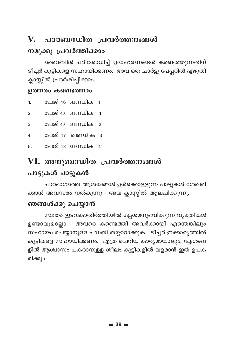## V. പാഠബന്ധിത പ്രവർത്തനങ്ങൾ

### നമുക്കു പ്രവർത്തിക്കാം

ബൈബിൾ പരിശോധിച്ച് ഉദാഹരണങ്ങൾ കണ്ടെത്തുന്നതിന് ടീച്ചർ കുട്ടികളെ സഹായിക്കണം. അവ ഒരു ചാർട്ടു പേപ്പറിൽ എഴുതി ക്ലാസ്സിൽ പ്രദർശിപ്പിക്കാം.

#### ഉത്തരം കണ്ടെത്താം

- പേജ് 46 ഖണ്ഡിക 1  $\overline{1}$ .
- പേജ് 47 ഖണ്ഡിക 1  $\overline{2}$
- പേജ് 47 ഖണ്ഡിക 2  $\overline{3}$ .
- പേജ് 47 ഖണ്ഡിക 3  $\mathbf{A}$
- പേജ് 48 ഖണ്ഡിക 4 5.

## VI. അനുബന്ധിത പ്രവർത്തനങ്ങൾ പാട്ടുകൾ പാട്ടുകൾ

പാഠഭാഗത്തെ ആശയങ്ങൾ ഉൾക്കൊള്ളുന്ന പാട്ടുകൾ ശേഖരി ക്കാൻ അവസരം നൽകുന്നു. അവ ക്ലാസ്സിൽ ആലപിക്കുന്നു.

### ഞങ്ങൾക്കു ചെയ്യാൻ

സ്വന്തം ഇടവകാതിർത്തിയിൽ ക്ലേശമനുഭവിക്കുന്ന വ്യക്തികൾ അവരെ കണ്ടെത്തി അവർക്കായി എന്തെങ്കിലും ഉണ്ടാവുമല്ലോ. സഹായം ചെയ്യാനുള്ള പദ്ധതി തയ്യാറാക്കുക. ടീച്ചർ ഇക്കാര്യത്തിൽ കുട്ടികളെ സഹായിക്കണം. എത്ര ചെറിയ കാര്യമായാലും, ക്ലേശങ്ങ ളിൽ ആശ്വാസം പകരാനുള്ള ശീലം കുട്ടികളിൽ വളരാൻ ഇത് ഉപക രിക്കും.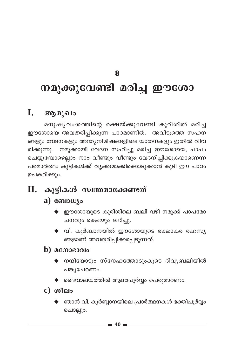8

# നമുക്കുവേണ്ടി മരിച്ച ഈശോ

#### I. ആമുഖം

മനുഷ്യവംശത്തിന്റെ രക്ഷയ്ക്കുവേണ്ടി കുരിശിൽ മരിച്ച ഈശോയെ അവതരിപ്പിക്കുന്ന പാഠമാണിത്. അവിടുത്തെ സഹന ങ്ങളും വേദനകളും അന്ത്യനിമിഷങ്ങളിലെ യാതനകളും ഇതിൽ വിവ രിക്കുന്നു. നമുക്കായി വേദന സഹിച്ചു മരിച്ച ഈശോയെ, പാപം ചെയ്യുമ്പോഴെല്ലാം നാം വീണ്ടും വീണ്ടും വേദനിപ്പിക്കുകയാണെന്ന പരമാർത്ഥം കുട്ടികൾക്ക് വ്യക്തമാക്കിക്കൊടുക്കാൻ കൂടി ഈ പാഠം ഉപകരിക്കും.

#### കുട്ടികൾ സ്വന്തമാക്കേണ്ടത് П.

### a) ബോധ്യം

- $\blacklozenge$  ഈശോയുടെ കുരിശിലെ ബലി വഴി നമുക്ക് പാപമോ ചനവും രക്ഷയും ലഭിച്ചു.
- $\blacklozenge$  വി. കുർബാനയിൽ ഈശോയുടെ രക്ഷാകര രഹസ്യ ങ്ങളാണ് അവതരിപ്പിക്കപ്പെടുന്നത്.

### $\bf{b})$  acmosono

- $\blacklozenge$  നന്ദിയോടും സ്നേഹത്തോടുംകൂടെ ദിവൃബലിയിൽ പങ്കുചേരണം.
- $\blacklozenge$  ദൈവാലയത്തിൽ ആദരപൂർവ്വം പെരുമാറണം.
- $c)$  ശീലം
	- ∙ ഞാൻ വി. കുർബ്ബാനയിലെ പ്രാർത്ഥനകൾ ഭക്തിപൂർവ്വം ചൊല്ലും.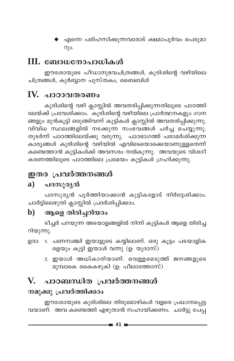→ എന്നെ പരിഹസിക്കുന്നവരോട് ക്ഷമാപൂർവം പെരുമ<mark>ാ</mark>  $Q$ ) $Q$ .

## III. ബോധനോപാധികൾ

ഈശോയുടെ പീഡാനുഭവചിത്രങ്ങൾ, കുരിശിന്റെ വഴിയിലെ ചിത്രങ്ങൾ, കുർബ്ബാന പുസ്തകം, ബൈബിൾ

## IV. പാഠാവതരണം

കുരിശിന്റെ വഴി ക്ലാസ്സിൽ അവതരിപ്പിക്കുന്നതിലൂടെ പാഠത്തി ലേയ്ക്ക് പ്രവേശിക്കാം. ്കുരിശിന്റെ വഴിയിലെ പ്രാർത്ഥനകളും ഗാന ങ്ങളും മുൻകൂട്ടി ഒരുങ്ങിവന്ന് കുട്ടികൾ ക്ലാസ്സിൽ അവതരിപ്പിക്കുന്നു. വിവിധ സ്ഥലങ്ങളിൽ നടക്കുന്ന സംഭവങ്ങൾ ചർച്ച ചെയ്യുന്നു. തുടർന്ന് പാഠത്തിലേയ്ക്കു വരുന്നു. പാഠഭാഗത്ത് പരാമർശിക്കുന്ന .<br>കാര്യങ്ങൾ കുരിശിന്റെ വഴിയിൽ എവിടെയൊക്കെയാണുള്ളതെന്ന് കണ്ടെത്താൻ കുട്ടികൾക്ക് അവസരം നൽകുന്നു. അവയുടെ വിശദീ കരണത്തിലൂടെ പാഠത്തിലെ പ്രമേയം കുട്ടികൾ ഗ്രഹിക്കുന്നു.

## ഇതര പ്രവർത്തനങ്ങൾ

## a) പദസൂരൃൻ

പദസൂര്യൻ പൂർത്തിയാക്കാൻ കുട്ടികളോട് നിർദ്ദേശിക്കാം. ചാർട്ടിലെഴുതി ക്ലാസ്സിൽ പ്രദർശിപ്പിക്കാം.

### b) ആളെ തിരിച്ചറിയാം

ടീച്ചർ പറയുന്ന അടയാളങ്ങളിൽ നിന്ന് കുട്ടികൾ ആളെ തിരിച്ച റിയുന്നു.

- ഉദാ: 1. പണസഞ്ചി ഇയാളുടെ കയ്യിലാണ്. ഒരു കൂട്ടം പടയാളിക ളെയും കൂട്ടി ഇയാൾ വന്നു (ഉ. യൂദാസ്)
	- 2. ഇയാൾ അധികാരിയാണ്. വെള്ളമെടുത്ത് ജനങ്ങളുടെ മുമ്പാകെ കൈകഴുകി (ഉ. പീലാത്തോസ്)

## V. പാഠബന്ധിത പ്രവർത്തനങ്ങൾ

## നമുക്കു പ്രവർത്തിക്കാം

ഈശോയുടെ കുരിശിലെ തിരുമൊഴികൾ വളരെ പ്രധാനപ്പെട്ട വയാണ്. അവ കണ്ടെത്തി എഴുതാൻ സഹായിക്കണം. ചാർട്ടു പേപ്പ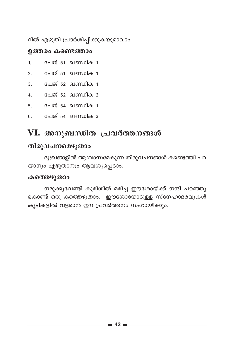റിൽ എഴുതി പ്രദർശിപ്പിക്കുകയുമാവാം.

#### ഉത്തരം കണ്ടെത്താം

- പേജ് 51 ഖണ്ഡിക 1  $\mathbf{1}$
- പേജ് 51 ഖണ്ഡിക 1  $\mathcal{P}$
- പേജ് 52 ഖണ്ഡിക 1 3.
- പേജ് 52 ഖണ്ഡിക 2  $\overline{4}$ .
- 5. പേജ് 54 ഖണ്ഡിക 1
- പേജ് 54 ഖണ്ഡിക 3 6.

## VI. അനുബന്ധിത പ്രവർത്തനങ്ങൾ

### തിരുവചനമെഴുതാം

ദുഃഖങ്ങളിൽ ആശ്വാസമേകുന്ന തിരുവചനങ്ങൾ കണ്ടെത്തി പറ യാനും എഴുതാനും ആവശ്യപ്പെടാം.

#### കത്തെഴുതാം

നമുക്കുവേണ്ടി കുരിശിൽ മരിച്ച ഈശോയ്ക്ക് നന്ദി പറഞ്ഞു കൊണ്ട് ഒരു കത്തെഴുതാം. ഈശോയോടുള്ള സ്നേഹാദരവുകൾ കുട്ടികളിൽ വളരാൻ ഈ പ്രവർത്തനം സഹായിക്കും.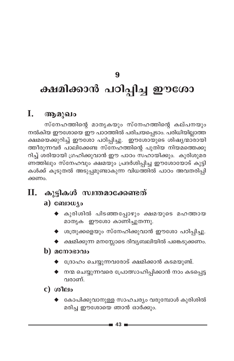## 9

# ക്ഷമിക്കാൻ പഠിപ്പിച്ച ഈശോ

#### I. ആമുഖം

സ്നേഹത്തിന്റെ മാതൃകയും സ്നേഹത്തിന്റെ കല്പനയും നൽകിയ ഈശോയെ ഈ പാഠത്തിൽ പരിചയപ്പെടാം. പരിധിയില്ലാത്ത ക്ഷമയെക്കുറിച്ച് ഈശോ പഠിപ്പിച്ചു. ഈശോയുടെ ശിഷ്യന്മാരായി ത്തീരുന്നവർ പാലിക്കേണ്ട സ്നേഹത്തിന്റെ പുതിയ നിയമത്തെക്കു റിച്ച് ശരിയായി ഗ്രഹിക്കുവാൻ ഈ പാഠം സഹായിക്കും. കുരിശുമര ണത്തിലും സ്നേഹവും ക്ഷമയും പ്രദർശിപ്പിച്ച ഈശോയോട് കുട്ടി കൾക്ക് കൂടുതൽ അടുപ്പമുണ്ടാകുന്ന വിധത്തിൽ പാഠം അവതരിപ്പി ക്കണം.

## $\mathbf{II}$ . കൂട്ടികൾ സ്വന്തമാക്കേണ്ടത്

### a)  $\omega_{\text{10}}$

- $\blacklozenge$  കുരിശിൽ പിടഞ്ഞപ്പോഴും ക്ഷമയുടെ മഹത്തായ മാതൃക ഈശോ കാണിച്ചുതന്നു.
- ◆ ശത്രുക്കളെയും സ്നേഹിക്കുവാൻ ഈശോ പഠിപ്പിച്ചു.
- $\blacklozenge$  ക്ഷമിക്കുന്ന മനസ്സോടെ ദിവ്യബലിയിൽ പങ്കെടുക്കണം.

### $\mathbf b)$  acmosoolo

- ◆ ദ്രോഹം ചെയ്യുന്നവരോട് ക്ഷമിക്കാൻ കടമയുണ്ട്.
- ♦ നന്മ ചെയ്യുന്നവരെ പ്രോത്സാഹിപ്പിക്കാൻ നാം കടപ്പെട്ട വരാണ്.

 $c)$  ( $o$ <sup>1</sup> $e$ lo

കോപിക്കുവാനുള്ള സാഹചര്യം വരുമ്പോൾ കുരിശിൽ മരിച്ച ഈശോയെ ഞാൻ ഓർക്കും.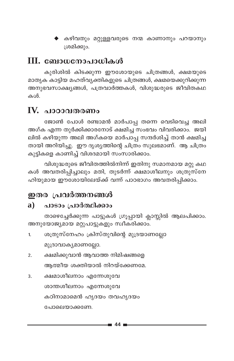<mark>♦</mark> കഴിവതും മറ്റുള്ളവരുടെ നന്മ കാണാനും പറയാനും ശ്രമിക്കും.

## **III. ബോധനോപാധികൾ**

കുരിശിൽ കിടക്കുന്ന ഈശോയുടെ ചിത്രങ്ങൾ, ക്ഷമയുടെ മാതൃക കാട്ടിയ മഹത്വ്യക്തികളുടെ ചിത്രങ്ങൾ, ക്ഷമയെക്കുറിക്കുന്ന അനുഭവസാക്ഷ്യങ്ങൾ, പത്രവാർത്തകൾ, വിശുദ്ധരുടെ ജീവിതകഥ കൾ.

## IV. പാഠാവതരണം

ജോൺ പോൾ രണ്ടാമൻ മാർപാപ്പ തന്നെ വെടിവെച്ച അലി അഗ്ക എന്ന തുർക്കിക്കാരനോട് ക്ഷമിച്ച സംഭവം വിവരിക്കാം. ജയി ലിൽ കഴിയുന്ന അലി അഗ്കയെ മാർപാപ്പ സന്ദർശിച്ച് താൻ ക്ഷമിച്ച തായി അറിയിച്ചു. ഈ ദൃശൃത്തിന്റെ ചിത്രം സുലഭമാണ്. ആ ചിത്രം കുട്ടികളെ കാണിച്ച് വിശദമായി സംസാരിക്കാം.

വിശുദ്ധരുടെ ജീവിതത്തിൽനിന്ന് ഇതിനു സമാനമായ മറ്റു കഥ കൾ അവതരിപ്പിച്ചാലും മതി, തുടർന്ന് ക്ഷമാശീലനും ശത്രുസ്നേ ഹിയുമായ ഈശോയിലേയ്ക്ക് വന്ന് പാഠഭാഗം അവതരിപ്പിക്കാം.

## ഇതര പ്രവർത്തനങ്ങൾ

#### പാടാം പ്രാർത്ഥിക്കാം  $\mathbf{a}$

താഴെച്ചേർക്കുന്ന പാട്ടുകൾ ഗ്രൂപ്പായി ക്ലാസ്സിൽ ആലപിക്കാം. അനുയോജ്യമായ മറ്റുപാട്ടുകളും സ്ഥീകരിക്കാം.

- ശത്രുസ്നേഹം ക്രിസ്തുവിന്റെ മുദ്രയാണല്ലോ  $\mathbf{1}$ മുദ്രാവാകൃമാണല്ലോ.
- ക്ഷമിക്കുവാൻ ആവാത്ത നിമിഷങ്ങളെ  $\mathcal{P}$ ആത്മീയ ശക്തിയാൽ നിറയ്ക്കേണമേ.
- ക്ഷമാശീലനാം എന്നേശുവേ 3. ശാന്തശീലനാം എന്നേശുവേ കഠിനാമാമെൻ ഹൃദയം തവഹൃദയം പോലെയാക്കണേ.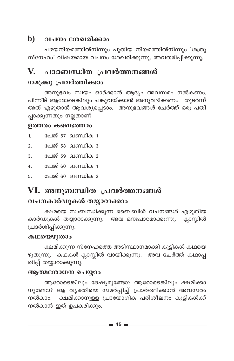#### $\mathbf{b}$ വചനം ശേഖരിക്കാം

പഴയനിയമത്തിൽനിന്നും പുതിയ നിയമത്തിൽനിന്നും 'ശത്രു സ്നേഹം' വിഷയമായ വചനം ശേഖരിക്കുന്നു, അവതരിപ്പിക്കുന്നു.

#### V. പാഠബന്ധിത പ്രവർത്തനങ്ങൾ

### നമുക്കു പ്രവർത്തിക്കാം

അനുഭവം സ്വയം ഓർക്കാൻ ആദ്യം അവസരം നൽകണം. പിന്നീട് ആരോടെങ്കിലും പങ്കുവയ്ക്കാൻ അനുവദിക്കണം. തുടർന്ന് അത് എഴുതാൻ ആവശ്യപ്പെടാം. അനുഭവങ്ങൾ ചേർത്ത് ഒരു പതി പ്പാക്കുന്നതും നല്ലതാണ്

#### ഉത്തരം കണ്ടെത്താം

- പേജ് 57 ഖണ്ഡിക 1  $\mathbf{1}$
- പേജ് 58 ഖണ്ഡിക 3  $\mathcal{P}$
- 3. പേജ് 59 **ഖണ്ഡിക** 2
- 4. പേജ് 60 ഖണ്ഡിക 1
- പേജ് 60 ഖണ്ഡിക 2 5

## VI. അനുബന്ധിത പ്രവർത്തനങ്ങൾ വചനകാർഡുകൾ തയ്യാറാക്കാം

ക്ഷമയെ സംബന്ധിക്കുന്ന ബൈബിൾ വചനങ്ങൾ എഴുതിയ കാർഡുകൾ തയ്യാറാക്കുന്നു. അവ മനഃപാഠമാക്കുന്നു. ക്ലാസ്സിൽ പ്രദർശിപ്പിക്കുന്നു.

#### കഥയെഴുതാം

ക്ഷമിക്കുന്ന സ്നേഹത്തെ അടിസ്ഥാനമാക്കി കുട്ടികൾ കഥയെ ഴുതുന്നു. കഥകൾ ക്ലാസ്സിൽ വായിക്കുന്നു. അവ ചേർത്ത് കഥാപ്പ തിപ്പ് തയ്യാറാക്കുന്നു.

### ആത്മശോധന ചെയ്യാം

ആരോടെങ്കിലും ദേഷ്യമുണ്ടോ? ആരോടെങ്കിലും ക്ഷമിക്കാ നുണ്ടോ? ആ വൃക്തിയെ സമർപ്പിച്ച് പ്രാർത്ഥിക്കാൻ അവസരം നൽകാം. ക്ഷമിക്കാനുള്ള പ്രായോഗിക പരിശീലനം കുട്ടികൾക്ക് നൽകാൻ ഇത് ഉപകരിക്കും.

 $\bullet$  45  $\bullet$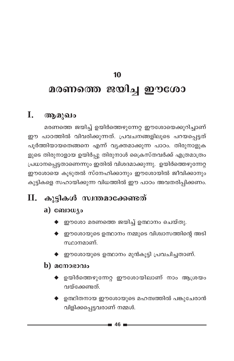# **10** മരണത്തെ ജയിച്ച **ഈശോ**

## **I.** ആമുഖം

മരണത്തെ ജയിച്ച് ഉയിർത്തെഴുന്നേറ്റ ഈശോയെക്കുറിച്ചാണ് ഈ പാഠത്തിൽ വിവരിക്കുന്നത്. പ്രവചനങ്ങളിലൂടെ പറയപ്പെട്ടത് പൂർത്തിയായതെങ്ങനെ എന്ന് വ്യക്തമാക്കുന്ന പാഠം. തിരുനാളുക ളുടെ തിരുനാളായ ഉയിർപ്പു തിരുനാൾ ക്രൈസ്തവർക്ക് എത്രമാത്രം  ${[}\text{L}}$ ധാനപ്പെട്ടതാണെന്നും ഇതിൽ വിശദമാക്കുന്നു. ഉയിർത്തെഴുന്നേറ്റ ഈശോയെ കൂടുതൽ സ്നേഹിക്കാനും ഈശോയിൽ ജീവിക്കാനും കുട്ടികളെ സഹായിക്കുന്ന വിധത്തിൽ ഈ പാഠം അവതരിപ്പിക്കണം.

## **. കുട്ടികൾ സ്വന്തമാക്കേണ്ടത്**

### a) compute

- $\blacklozenge$  ഈശോ മരണത്തെ ജയിച്ച് ഉത്ഥാനം ചെയ്തു.
- $\blacklozenge$  ഈശോയുടെ ഉത്ഥാനം നമ്മുടെ വിശ്വാസത്തിന്റെ അടി സ്ഥാനമാണ്.
- $\blacklozenge$  ഈശോയുടെ ഉത്ഥാനം മുൻകൂട്ടി പ്രവചിച്ചതാണ്.

### $\mathbf b)$  **ac** more  $\mathbf a$

- ഉയിർത്തെഴുന്നേറ്റ ഈശോയിലാണ് നാം ആശ്രയം വയ്ക്കേണ്ടത്.
- $\blacklozenge$  ഉത്ഥിതനായ ഈശോയുടെ മഹത്വത്തിൽ പങ്കുചേരാൻ വിളിക്കപ്പെട്ടവരാണ് നമ്മൾ.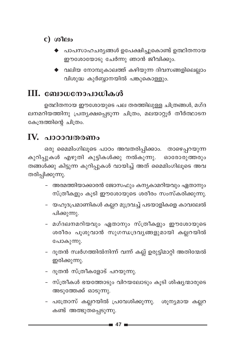## $c)$  ശീലം

- പാപസാഹചര്യങ്ങൾ ഉപേക്ഷിച്ചുകൊണ്ട് ഉത്ഥിതനായ ഈശോയോടു ചേർന്നു ഞാൻ ജീവിക്കും.
- $\blacklozenge$  വലിയ നോമ്പുകാലത്ത് കഴിയുന്ന ദിവസങ്ങളിലെല്ലാം വിശുദ്ധ കുർബ്ബാനയിൽ പങ്കുകൊള്ളും.

## III. ബോധനോപാധികൾ

ഉത്ഥിതനായ ഈശോയുടെ പല തരത്തിലുള്ള ചിത്രങ്ങൾ, മഗ്ദ ലനമറിയത്തിനു പ്രത്യക്ഷപ്പെടുന്ന ചിത്രം, മലയാറ്റൂർ തീർത്ഥാടന കേന്ദ്രത്തിന്റെ ചിത്രം.

## $\mathbf{IV.}$  പാഠാവതരണം

ഒരു മൈമിംഗിലൂടെ പാഠം അവതരിപ്പിക്കാം. താഴെപ്പറയുന്ന കുറിപ്പുകൾ എഴുതി കുട്ടികൾക്കു നൽകുന്നു. ഓരോരുത്തരും തങ്ങൾക്കു കിട്ടുന്ന കുറിപ്പുകൾ വായിച്ച് അത് മൈമിംഗിലൂടെ അവ തരിപ്പിക്കുന്നു.

- അരമത്തിയാക്കാരൻ ജോസഫും കന്യകാമറിയവും ഏതാനും സ്ത്രീകളും കൂടി ഈശോയുടെ ശരീരം സംസ്കരിക്കുന്നു.
- യഹൂദപ്രമാണികൾ കല്ലറ മുദ്രവച്ച് പടയാളികളെ കാവലേൽ പിക്കുന്നു.
- മഗ്ദലനമറിയവും ഏതാനും സ്ത്രീകളും ഈശോയുടെ ശരീരം പൂശുവാൻ സുഗന്ധദ്രവ്യങ്ങളുമായി കല്ലറയിൽ പോകുന്നു.
- ദൂതൻ സ്വർഗത്തിൽനിന്ന് വന്ന് കല്ല് ഉരുട്ടിമാറ്റി അതിന്മേൽ ഇരിക്കുന്നു.
- ദൂതൻ സ്ത്രീകളോട് പറയുന്നു.
- സ്ത്രീകൾ ഭയത്തോടും വിറയലോടും കൂടി ശിഷ്യന്മാരുടെ അടുത്തേക്ക് ഓടുന്നു.
- പത്രോസ് കല്ലറയിൽ പ്രവേശിക്കുന്നു. ശൂന്യമായ കല്ലറ കണ്ട് അത്ഭുതപ്പെടുന്നു.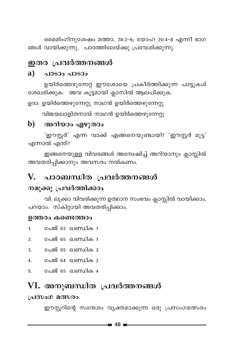മൈമിംഗിനുശേഷം മത്താ. 28:2-6; യോഹ 20:4-8 എന്നീ ഭാഗ ങ്ങൾ വായിക്കുന്നു. പാഠത്തിലേയ്ക്കു പ്രവേശിക്കുന്നു.

### ഇതര പ്രവർത്തനങ്ങൾ

#### $\mathbf{a}$ ) പാടാം പാടാം

ഉയിർത്തെഴുന്നേറ്റ ഈശോയെ പ്രകീർത്തിക്കുന്ന പാട്ടുകൾ ശേഖരിക്കുക. അവ കൂട്ടമായി ക്ലാസിൽ ആലപിക്കുക.

ഉദാ: ഉയിർത്തെഴുന്നേറ്റു നാഥൻ ഉയിർത്തെഴുന്നേറ്റു

വിജയലാളിതനായ് നാഥൻ ഉയിർത്തെഴുന്നേറ്റു

#### അറിയാം എഴുതാം  $\mathbf{b}$

'ഈസ്റ്റർ' എന്ന വാക്ക് എങ്ങനെയുണ്ടായി? 'ഈസ്റ്റർ മുട്ട' എന്നാൽ എന്ത്?

ഇങ്ങനെയുള്ള വിവരങ്ങൾ അമ്പേഷിച്ച് അറിയാനും ക്ലാസ്സിൽ അവതരിപ്പിക്കാനും അവസരം നൽകണം.

#### V. പാഠബന്ധിത പ്രവർത്തനങ്ങൾ

## നമുക്കു പ്രവർത്തിക്കാം

വി. ലൂക്കാ വിവരിക്കുന്ന ഉത്ഥാന സംഭവം ക്ലാസ്സിൽ വായിക്കാം, പറയാം. സ്കിറ്റായി അവതരിപ്പിക്കാം.

### ഉത്തരം കണ്ടെത്താം

- പേജ് 63 ഖണ്ഡിക 1  $\mathbf{1}$
- $2.$ പേജ് 65 ഖണ്ഡിക 1
- 3. പേജ് 65 ഖണ്ഡിക 3
- പേജ് 64 ഖണ്ഡിക 2  $\mathbf{A}$
- പേജ് 65 ഖണ്ഡിക 4 5.

## VI. അനുബന്ധിത പ്രവർത്തനങ്ങൾ

### പ്രസംഗ മത്സരം

ഈസ്റ്ററിന്റെ സന്ദേശം വ്യക്തമാക്കുന്ന ഒരു പ്രസംഗമത്സരം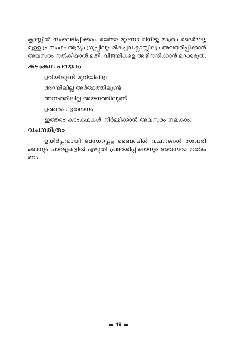ക്ലാസ്സിൽ സംഘടിപ്പിക്കാം. രണ്ടോ മൂന്നോ മിനിട്ടു മാത്രം ദൈർഘ്യ മുള്ള പ്രസംഗം ആദ്യം ഗ്രൂപ്പിലും മികച്ചവ ക്ലാസ്സിലും അവതരിപ്പിക്കാൻ അവസരം നൽകിയാൽ മതി. വിജയികളെ അഭിനന്ദിക്കാൻ മറക്കരുത്.

#### കടാകഥ പറയാം

ഉറിയിലുണ്ട് മുറിയിലില്ല അറയിലില്ല അർത്ഥത്തിലുണ്ട് അന്നത്തിലില്ല അയനത്തിലുണ്ട് ഉത്തരം : ഉത്ഥാനം ഇത്തരം കടംകഥകൾ നിർമ്മിക്കാൻ അവസരം നല്കാം.

### വചനമിത്രം

ഉയിർപ്പുമായി ബന്ധപ്പെട്ട ബൈബിൾ വചനങ്ങൾ ശേഖരി ക്കാനും ചാർട്ടുകളിൽ എഴുതി പ്രദർശിപ്പിക്കാനും അവസരം നൽക ണം.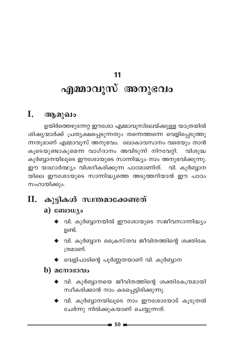# $11$ എമ്മാവുസ് അനുഭവം

#### I. ആമുഖം

ഉയിർത്തെഴുന്നേറ്റ ഈശോ എമ്മാവൂസിലേയ്ക്കുള്ള യാത്രയിൽ ശിഷ്യന്മാർക്ക് പ്രത്യക്ഷപ്പെടുന്നതും തന്നെത്തന്നെ വെളിപ്പെടുത്തു ന്നതുമാണ് എമ്മാവൂസ് അനുഭവം. ലോകാവസാനം വരെയും താൻ കൂടെയുണ്ടാകുമെന്ന വാഗ്ദാനം അവിടുന്ന് നിറവേറ്റി. വിശുദ്ധ കുർബ്ബാനയിലൂടെ ഈശോയുടെ സാന്നിദ്ധ്യം നാം അനുഭവിക്കുന്നു. ഈ യാഥാർത്ഥ്യം വിശദീകരിക്കുന്ന പാഠമാണിത്. വി. കുർബ്ബാന യിലെ ഈശോയുടെ സാന്നിദ്ധ്യത്തെ അടുത്തറിയാൻ ഈ പാഠം സഹായിക്കും.

#### П. കുട്ടികൾ സ്വന്തമാക്കേണ്ടത്

## $a)$  comowyo

- $\blacklozenge$  വി. കുർബ്ബാനയിൽ ഈശോയുടെ സജീവസാന്നിദ്ധ്യം ഉണ്ട്.
- $\blacklozenge$  വി. കുർബ്ബാന ക്രൈസ്തവ ജീവിതത്തിന്റെ ശക്തികേ ന്ദ്രമാണ്.
- $\blacklozenge$  വെളിപാടിന്റെ പൂർണ്ണതയാണ് വി. കുർബ്ബാന

### $\bf{b)}$  acmosono

- $\blacklozenge$  വി. കുർബ്ബാനയെ ജീവിതത്തിന്റെ ശക്തികേന്ദ്രമായി സ്വീകരിക്കാൻ നാം കടപ്പെട്ടിരിക്കുന്നു.
- $\blacklozenge$  വി. കുർബ്ബാനയിലൂടെ നാം ഈശോയോട് കൂടുതൽ ചേർന്നു നിൽക്കുകയാണ് ചെയ്യുന്നത്.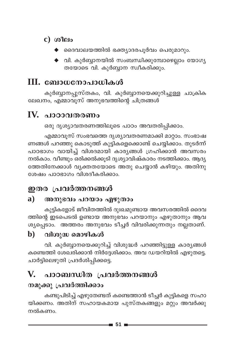## $c)$  ( $a$ <sup> $a$ </sup> $P$ <sup> $a$ </sup>

- ദൈവാലയത്തിൽ ഭക്ത്യാദരപൂർവം പെരുമാറും.
- വി. കുർബ്ബാനയിൽ സംബന്ധിക്കുമ്പോഴെല്ലാം യോഗ്യ തയോടെ വി. കുർബ്ബാന സ്വീകരിക്കും.

## III. ബോധനോപാധികൾ

കുർബ്ബാനപ്പുസ്തകം, വി. കുർബ്ബാനയെക്കുറിച്ചുള്ള ചാക്രിക ലേഖനം, എമ്മാവൂസ് അനുഭവത്തിന്റെ ചിത്രങ്ങൾ

## IV. പാഠാവതരണം

ഒരു ദൃശ്യാവതരണത്തിലൂടെ പാഠം അവതരിപ്പിക്കാം.

എമ്മാവൂസ് സംഭവത്തെ ദൃശ്യാവതരണമാക്കി മാറ്റാം. സംഭാഷ ണങ്ങൾ പറഞ്ഞു കൊടുത്ത് കുട്ടികളെക്കൊണ്ട് ചെയ്യിക്കാം. തുടർന്ന് പാഠഭാഗം വായിച്ച് വിശദമായി കാര്യങ്ങൾ ഗ്രഹിക്കാൻ അവസരം നൽകാം. വീണ്ടും ഒരിക്കൽക്കൂടി ദൃശ്യാവിഷ്കാരം നടത്തിക്കാം. ആദ്യ ത്തേതിനേക്കാൾ വ്യക്തതയോടെ അതു ചെയ്യാൻ കഴിയും. അതിനു ശേഷം പാഠഭാഗം വിശദീകരിക്കാം.

## ഇതര പ്രവർത്തനങ്ങൾ

#### a) അനുഭവം പറയാം എഴുതാം

കുട്ടികളോട് ജീവിതത്തിൽ ദുഃഖമുണ്ടായ അവസരത്തിൽ ദൈവ ത്തിന്റെ ഇടപെടൽ ഉണ്ടായ അനുഭവം പറയാനും എഴുതാനും ആവ ശ്യപ്പെടാം. അത്തരം അനുഭവം ടീച്ചർ വിവരിക്കുന്നതും നല്ലതാണ്.

#### $\mathbf{b}$ വിശുദ്ധ മൊഴികൾ

വി. കുർബ്ബാനയെക്കുറിച്ച് വിശുദ്ധർ പറഞ്ഞിട്ടുള്ള കാര്യങ്ങൾ കണ്ടെത്തി ശേഖരിക്കാൻ നിർദ്ദേശിക്കാം. അവ ഡയറിയിൽ എഴുതട്ടെ. ചാർട്ടിലെഴുതി പ്രദർശിപ്പിക്കട്ടെ.

#### V. പാഠബന്ധിത പ്രവർത്തനങ്ങൾ

## നമുക്കു പ്രവർത്തിക്കാം

കണ്ടുപിടിച്ച് എഴുതേണ്ടത് കണ്ടെത്താൻ ടീച്ചർ കുട്ടികളെ സഹാ യിക്കണം. അതിന് സഹായകമായ പുസ്തകങ്ങളും മറ്റും അവർക്കു നൽകണം.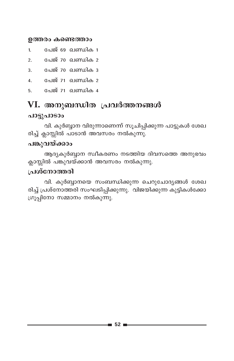#### ഉത്തരം കണ്ടെത്താം

- പേജ് 69 ഖണ്ഡിക 1  $\mathbf{1}$
- പേജ് 70 ഖണ്ഡിക 2  $\overline{2}$
- പേജ് 70 ഖണ്ഡിക 3  $\overline{3}$ .
- പേജ് 71 ഖണ്ഡിക 2  $\overline{4}$ .
- പേജ് 71 ഖണ്ഡിക 4 5.

### VI. അനുബന്ധിത പ്രവർത്തനങ്ങൾ

#### പാട്ടുപാടാം

വി. കുർബ്ബാന വിരുന്നാണെന്ന് സൂചിപ്പിക്കുന്ന പാട്ടുകൾ ശേഖ രിച്ച് ക്ലാസ്സിൽ പാടാൻ അവസരം നൽകുന്നു.

### പങ്കുവയ്ക്കാം

ആദ്യകുർബ്ബാന സ്ഥീകരണം നടത്തിയ ദിവസത്തെ അനുഭവം ക്ലാസ്സിൽ പങ്കുവയ്ക്കാൻ അവസരം നൽകുന്നു.

#### ച്രശ്നോത്തരി

വി. കുർബ്ബാനയെ സംബന്ധിക്കുന്ന ചെറുചോദ്യങ്ങൾ ശേഖ രിച്ച് പ്രശ്നോത്തരി സംഘടിപ്പിക്കുന്നു. വിജയിക്കുന്ന കുട്ടികൾക്കോ ഗ്രൂപ്പിനോ സമ്മാനം നൽകുന്നു.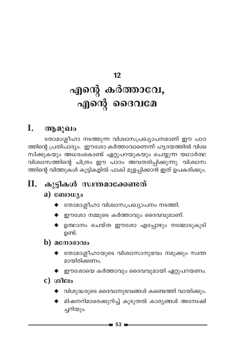#### $12$

# എന്റെ കർത്താവേ, എന്റെ ദൈവമേ

#### I. ആമുഖം

തോമാശ്ലീഹാ നടത്തുന്ന വിശ്വാസപ്രഖ്യാപനമാണ് ഈ പാഠ ത്തിന്റെ പ്രതിപാദ്യം. ഇൗശോ കർത്താവാണെന്ന് ഹൃദയത്തിൽ വിശ്വ സിക്കുകയും അധരംകൊണ്ട് ഏറ്റുപറയുകയും ചെയ്യുന്ന യഥാർത്ഥ വിശ്വാസത്തിന്റെ ചിത്രം ഈ പാഠം അവതരിപ്പിക്കുന്നു. വിശ്വാസ ത്തിന്റെ വിത്തുകൾ കുട്ടികളിൽ പാകി മുളപ്പിക്കാൻ ഇത് ഉപകരിക്കും.

#### $\Pi$ . കൂട്ടികൾ സ്വന്തമാക്കേണ്ടത്

### a) ബോധ്യം

- $\blacklozenge$  തോമാശ്ലീഹാ വിശ്വാസപ്രഖ്യാപനം നടത്തി.
- $\blacklozenge$  ഈശോ നമ്മുടെ കർത്താവും ദൈവവുമാണ്.
- $\blacklozenge$  ഉത്ഥാനം ചെയ്ത ഈശോ എപ്പോഴും നമ്മോടുകൂടി ഉണ്ട്.
- $\mathbf b)$  acmosoolo
	- $\blacklozenge$  തോമാശ്ലീഹായുടെ വിശ്വാസാനുഭവം നമുക്കും സ്വന്ത മായിരിക്കണം.
	- $\blacklozenge$  ഈശോയെ കർത്താവും ദൈവവുമായി ഏറ്റുപറയണം.
- $c)$  ശീലം
	- $\blacklozenge$  വിശുദ്ധരുടെ ദൈവാനുഭവങ്ങൾ കണ്ടെത്തി വായിക്കും.
	- $\blacklozenge$  മിഷനറിമാരെക്കുറിച്ച് കൂടുതൽ കാര്യങ്ങൾ അന്വേഷി ച്ചറിയും.

 $\blacksquare$  53  $\blacksquare$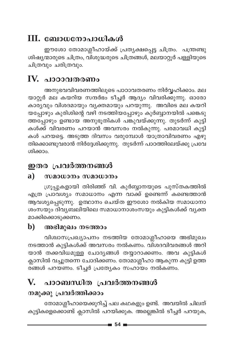## III. ബോധനോപാധികൾ

ഈശോ തോമാശ്ലീഹായ്ക്ക് പ്രത്യക്ഷപ്പെട്ട ചിത്രം. പന്ത്രണ്ടു ശിഷ്യന്മാരുടെ ചിത്രം, വിശുദ്ധരുടെ ചിത്രങ്ങൾ, മലയാറ്റൂർ പള്ളിയുടെ ചിത്രവും ചരിത്രവും.

## IV. പാഠാവതരണം

അനുഭവവിവരണത്തിലൂടെ പാഠാവതരണം നിർവ്വഹിക്കാം. മല യാറ്റൂർ മല കയറിയ സന്ദർഭം ടീച്ചർ ആദ്യം വിവരിക്കുന്നു. ഓരോ കാര്യവും വിശദമായും വ്യക്തമായും പറയുന്നു. അവിടെ മല കയറി യപ്പോഴും കുരിശിന്റെ വഴി നടത്തിയപ്പോഴും കുർബ്ബാനയിൽ പങ്കെടു ത്തപ്പോഴും ഉണ്ടായ അനുഭൂതികൾ പങ്കുവയ്ക്കുന്നു. തുടർന്ന് കുട്ടി കൾക്ക് വിവരണം പറയാൻ അവസരം നൽകുന്നു. പരമാവധി കുട്ടി കൾ പറയട്ടെ. അടുത്ത ദിവസം വരുമ്പോൾ യാത്രാവിവരണം എഴു തിക്കൊണ്ടുവരാൻ നിർദ്ദേശിക്കുന്നു. തുടർന്ന് പാഠത്തിലേയ്ക്കു പ്രവേ ശിക്കാം.

## ഇതര പ്രവർത്തനങ്ങൾ

#### a) സമാധാനം സമാധാനം

ഗ്രൂപ്പുകളായി തിരിഞ്ഞ് വി. കുർബ്ബാനയുടെ പുസ്തകത്തിൽ എത്ര പ്രാവശ്യം സമാധാനം എന്ന വാക്ക് ഉണ്ടെന്ന് കണ്ടെത്താൻ ആവശ്യപ്പെടുന്നു. ഉത്ഥാനം ചെയ്ത ഈശോ നൽകിയ സമാധാനാ ശംസയും ദിവ്യബലിയിലെ സമാധാനാശംസയും കുട്ടികൾക്ക് വ്യക്ത മാക്കിക്കൊടുക്കണം.

#### $\mathbf{b}$ അഭിമുഖം നടത്താം

വിശ്വാസപ്രഖ്യാപനം നടത്തിയ തോമാശ്ലീഹായെ അഭിമുഖം നടത്താൻ കുട്ടികൾക്ക് അവസരം നൽകണം. വി്ശദവിവരങ്ങൾ അറി യാൻ തക്കവിധമുള്ള ചോദ്യങ്ങൾ തയ്യാറാക്കണം. അവ കുട്ടികൾ ക്ലാസിൽ വച്ചുതന്നെ ചോദിക്കണം. തോമാശ്ലീഹാ ആകുന്ന കുട്ടി ഉത്ത ര്ങ്ങൾ പറയണം. ടീച്ചർ പ്രത്യേകം സഹായം നൽകണം.

## V. പാഠബന്ധിത പ്രവർത്തനങ്ങൾ

## നമുക്കു പ്രവർത്തിക്കാം

തോമാശ്ലീഹായെക്കുറിച്ച് പല കഥകളും ഉണ്ട്. അവയിൽ ചിലത് കുട്ടികളെക്കൊണ്ട് ക്ലാസിൽ പറയിക്കുക. അല്ലെങ്കിൽ ടീച്ചർ പറയുക,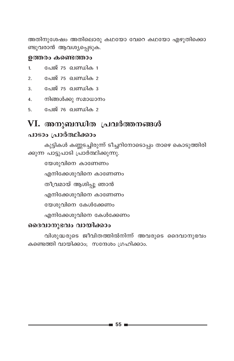അതിനുശേഷം അതിലൊരു കഥയോ വേറെ കഥയോ എഴുതിക്കൊ ണ്ടുവരാൻ ആവശ്യപ്പെടുക.

#### ഉത്തരം കണ്ടെത്താം

- പേജ് 75 ഖണ്ഡിക 1  $\mathbf{1}$
- പേജ് 75 ഖണ്ഡിക 2  $\overline{2}$ .
- 3. പേജ് 75 **ഖണ്ഡിക** 3
- നിങ്ങൾക്കു സമാധാനം  $4.$
- പേജ് 76 ഖണ്ഡിക 2 5.

## VI. അനുബന്ധിത പ്രവർത്തനങ്ങൾ പാടാം പ്രാർത്ഥിക്കാം

കുട്ടികൾ കണ്ണടച്ചിരുന്ന് ടീച്ചറിനോടൊപ്പം താഴെ കൊടുത്തിരി ക്കുന്ന പാട്ടുപാടി പ്രാർത്ഥിക്കുന്നു.

യേശുവിനെ കാണേണം

എനിക്കേശുവിനെ കാണേണം

തീവ്രമായ് ആശിപ്പൂ ഞാൻ

എനിക്കേശുവിനെ കാണേണം

യേശുവിനെ കേൾക്കേണം

എനിക്കേശുവിനെ കേൾക്കേണം

#### ദൈവാനുഭവം വായിക്കാം

വിശുദ്ധരുടെ ജീവിതത്തിൽനിന്ന് അവരുടെ ദൈവാനുഭവം കണ്ടെത്തി വായിക്കാം; സന്ദേശം ഗ്രഹിക്കാം.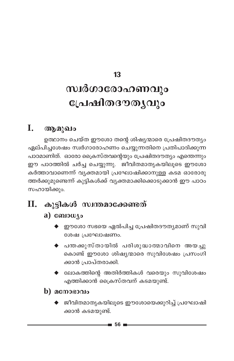#### 13

# സ്വർഗാരോഹണവും പ്രേഷിതദൗതൃവും

#### I. ആമുഖം

ഉത്ഥാനം ചെയ്ത ഈശോ തന്റെ ശിഷ്യന്മാരെ പ്രേഷിതദൗത്യം ഏല്പിച്ചശേഷം സ്വർഗാരോഹണം ചെയ്യുന്നതിനെ പ്രതിപാദിക്കുന്ന പാഠമാണിത്. ഓരോ ക്രൈസ്തവന്റെയും പ്രേഷിതദൗത്യം എന്തെന്നും ഈ പാഠത്തിൽ ചർച്ച ചെയ്യുന്നു. ജീവിതമാതൃകയിലൂടെ ഈശോ കർത്താവാണെന്ന് വ്യക്തമായി പ്രഘോഷിക്കാനുള്ള കടമ ഓരോരു ത്തർക്കുമുണ്ടെന്ന് കുട്ടികൾക്ക് വ്യക്തമാക്കിക്കൊടുക്കാൻ ഈ പാഠം സഹായിക്കും.

## $\mathbf{II}$ . കുട്ടികൾ സ്വന്തമാക്കേണ്ടത്

### $a)$  compute

- $\blacklozenge$  ഈശോ സഭയെ ഏൽപിച്ച പ്രേഷിതദൗതൃമാണ് സുവി ശേഷ പ്രഘോഷണം.
- $\blacklozenge$  പന്തക്കുസ്തായിൽ പരിശുദ്ധാത്മാവിനെ അയച്ചു കൊണ്ട് ഈശോ ശിഷ്യന്മാരെ സുവിശേഷം പ്രസംഗി ക്കാൻ പ്രാപ്തരാക്കി.
- $\blacklozenge$  ലോകത്തിന്റെ അതിർത്തികൾ വരെയും സുവിശേഷം എത്തിക്കാൻ ക്രൈസ്തവന് കടമയുണ്ട്.
- $\bf{b)}$  acmosono
	- ♦ ജീവിതമാതൃകയിലുടെ ഈശോയെക്കുറിച്ച് പ്രഘോഷി ക്കാൻ കടമയുണ്ട്.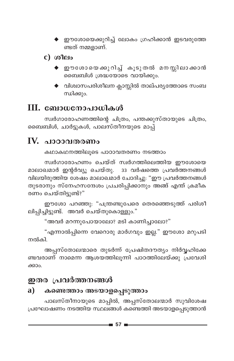- ◆ ഈശോയെക്കുറിച്ച് ലോകം ഗ്രഹിക്കാൻ ഇടവരുത്തേ ണ്ടത് നമ്മളാണ്.
- $c)$  ശീലം
	- ♦ ഈശോയെക്കുറിച്ച് കൂടുതൽ മനസ്സിലാക്കാൻ ബൈബിൾ ശ്രദ്ധയോടെ വായിക്കും.
	- $\blacklozenge$  വിശ്വാസപരിശീലന ക്ലാസ്സിൽ താല്പര്യത്തോടെ സംബ ന്ധിക്കും.

## III. ബോധനോപാധികൾ

സ്വർഗാരോഹണത്തിന്റെ ചിത്രം, പന്തക്കുസ്തായുടെ ചിത്രം, ബൈബിൾ, ചാർട്ടുകൾ, പാലസ്തീനയുടെ മാപ്പ്

## IV. പാഠാവതരണം

കഥാകഥനത്തിലൂടെ പാഠാവതരണം നടത്താം

സ്വർഗാരോഹണം ചെയ്ത് സ്വർഗത്തിലെത്തിയ ഈശോയെ മാലാഖമാർ ഇന്റർവ്യൂ ചെയ്തു. 33 വർഷത്തെ പ്രവർത്തനങ്ങൾ വിലയിരുത്തിയ ശേഷം മാലാഖമാർ ചോദിച്ചു: "ഈ പ്രവർത്തനങ്ങൾ തുടരാനും സ്നേഹസന്ദേശം പ്രചരിപ്പിക്കാനും അങ്ങ് എന്ത് ക്രമീക രണം ചെയ്തിടുണ്ട്?"

ഈശോ പറഞ്ഞു: "പന്ത്രണ്ടുപേരെ തെരഞ്ഞെടുത്ത് പരിശീ ലിപ്പിച്ചിട്ടുണ്ട്. അവർ ചെയ്തുകൊള്ളും."

"അവർ മറന്നുപോയാലോ? മടി കാണിച്ചാലോ?"

"എന്നാൽപ്പിന്നെ വേറൊരു മാർഗവും ഇല്ല." ഈശോ മറുപടി നൽകി

അപ്പസ്തോലന്മാരെ തുടർന്ന് പ്രേഷിതദൗത്യം നിർവ്വഹിക്കേ ണ്ടവരാണ് നാമെന്ന ആശയത്തിലൂന്നി പാഠത്തിലേയ്ക്കു പ്രവേശി ക്കാം.

## ഇതര പ്രവർത്തനങ്ങൾ

#### കണ്ടെത്താം അടയാളപ്പെടുത്താം a)

പാലസ്തീനായുടെ മാപ്പിൽ, അപ്പസ്തോലന്മാർ സുവിശേഷ പ്രഘോഷണം നടത്തിയ സ്ഥലങ്ങൾ കണ്ടെത്തി അടയാളപ്പെടുത്താൻ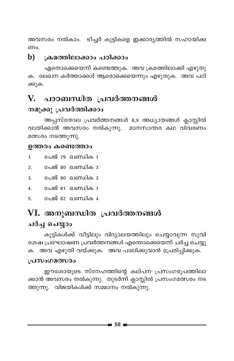അവസരം നൽകാം. ടീച്ചർ കുട്ടികളെ ഇക്കാര്യത്തിൽ സഹായിക്ക ണം.

#### h) ക്രമത്തിലാക്കാം പഠിക്കാം

ഏതൊക്കെയെന്ന് കണ്ടെത്തുക. അവ ക്രമത്തിലാക്കി എഴുതു ക. ലേഖന കർത്താക്കൾ ആരൊക്കെയെന്നും എഴുതുക. അവ പഠി ക്കുക.

## V. പാഠബന്ധിത പ്രവർത്തനങ്ങൾ

### നമുക്കു പ്രവർത്തിക്കാം

അപ്പസ്തോല പ്രവർത്തനങ്ങൾ 8,9 അധ്യായങ്ങൾ ക്ലാസ്സിൽ വായിക്കാൻ അവസരം നൽകുന്നു. മാനസാന്തര കഥ വിവരണം മത്സരം നടത്തുന്നു.

#### ഉത്തരം കണ്ടെത്താം

- പേജ് 79 ഖണ്ഡിക 1  $\mathbf{1}$
- പേജ് 80 ഖണ്ഡിക 3  $\mathfrak{D}$ .
- പേജ് 80 ഖണ്ഡിക 3  $\overline{3}$ .
- പേജ് 81 ഖണ്ഡിക 1  $\overline{4}$ .
- േജ് 82 ബ്രെഡിക 4 5.

## VI. അനുബന്ധിത പ്രവർത്തനങ്ങൾ

### ചർച്ച ചെയ്യാം

കുട്ടികൾക്ക് വീട്ടിലും വിദ്യാലയത്തിലും ചെയ്യാവുന്ന സുവി ശേഷ പ്രഘോഷണ പ്രവർത്തനങ്ങൾ എന്തൊക്കെയെന്ന് ചർച്ച ചെയ്യു ക. അവ എഴുതി വയ്ക്കുക. അവ പാലിക്കുവാൻ പ്രേരിപ്പിക്കുക.

#### ച്രസംഗമത്സരം

ഈശോയുടെ സ്നേഹത്തിന്റെ കല്പന പ്രസംഗരൂപത്തിലാ ക്കാൻ അവസരം നൽകുന്നു. തുടർന്ന് ക്ലാസ്സിൽ പ്രസംഗമത്സരം നട ത്തുന്നു. വിജയികൾക്ക് സമ്മാനം നൽകുന്നു.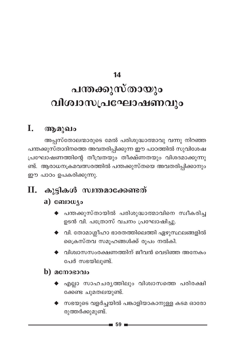14

# പന്തക്കുസ്തായും വിശ്വാസപ്രഘോഷണവും

## I. ആമുഖം

അപ്പസ്തോലന്മാരുടെ മേൽ പരിശുദ്ധാത്മാവു വന്നു നിറഞ്ഞ പന്തക്കുസ്താദിനത്തെ അവതരിപ്പിക്കുന്ന ഈ പാഠത്തിൽ സുവിശേഷ പ്രഘോഷണത്തിന്റെ തീവ്രതയും തീക്ഷ്ണതയും വിശദമാക്കുന്നു ണ്ട്. ആരാധനക്രമവത്സരത്തിൽ പന്തക്കുസ്തയെ അവതരിപ്പിക്കാനും ഈ പാഠം ഉപകരിക്കുന്നു.

## $II.$  കുട്ടികൾ സ്വന്തമാക്കേണ്ടത്

### a)  $\omega_{\text{10}}$

- $\blacklozenge$  പന്തക്കുസ്തായിൽ പരിശുദ്ധാത്മാവിനെ സ്വീകരിച്ച ഉടൻ വി. പത്രോസ് വചനം പ്രഘോഷിച്ചു.
- $\blacklozenge$  വി. തോമാശ്ലീഹാ ഭാരതത്തിലെത്തി ഏഴുസ്ഥലങ്ങളിൽ ക്രൈസ്തവ സമൂഹങ്ങൾക്ക് രൂപം നൽകി.
- $\blacklozenge$  വിശ്വാസസംരക്ഷണത്തിന് ജീവൻ വെടിഞ്ഞ അനേകം പേർ സഭയിലുണ്ട്.

### $\bf{b})$  acmosono

- ◆ എല്ലാ സാഹചര്യത്തിലും വിശ്വാസത്തെ പരിരക്ഷി ക്കേണ്ട ചുമതലയുണ്ട്.
- $\blacklozenge$  സഭയുടെ വളർച്ചയിൽ പങ്കാളിയാകാനുള്ള കടമ ഓരോ രുത്തർക്കുമുണ്ട്.

 $\blacksquare$  59  $\blacksquare$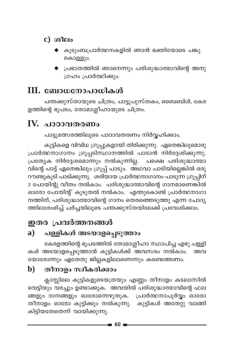- $c)$  ശീലം
	- കുടുംബപ്രാർത്ഥനകളിൽ ഞാൻ ഭക്തിയോടെ പങ്കു കൊള്ളും.
	- $\blacklozenge$  പ്രഭാതത്തിൽ ഞാനെന്നും പരിശുദ്ധാത്മാവിന്റെ അനു ഗ്രഹം പ്രാർത്ഥിക്കും.

## III. ബോധനോപാധികൾ

പന്തക്കുസ്തായുടെ ചിത്രം, പാട്ടുപുസ്തകം, ബൈബിൾ, കേര ളത്തിന്റെ ഭൂപടം, തോമാശ്ലീഹായുടെ ചിത്രം.

## IV. പാഠാവതരണം

പാട്ടുമത്സരത്തിലൂടെ പാഠാവതരണം നിർവ്വഹിക്കാം.

കുട്ടികളെ വിവിധ ഗ്രൂപ്പുകളായി തിരിക്കുന്നു. ഏതെങ്കിലുമൊരു പ്രാർത്ഥനാഗാനം ഗ്രൂപ്പടിസ്ഥാനത്തിൽ പാടാൻ നിർദ്ദേശിക്കുന്നു. പ്രത്യേക നിർദ്ദേശമൊന്നും നൽകുന്നില്ല. പക്ഷെ പരിശുദ്ധാത്മാ വിന്റെ പാട്ട് ഏതെങ്കിലും ഗ്രൂപ്പ് പാടും. അഥവാ പാടിയില്ലെങ്കിൽ ഒരു റൗണ്ടുകൂടി പാടിക്കുന്നു. ശരിയായ പ്രാർത്ഥനാഗാനം പാടുന്ന ഗ്രൂപ്പിന് 2 പോയിന്റു വീതം നൽകാം. പരിശുദ്ധാത്മാവിന്റെ ഗാനമാണെങ്കിൽ ഓരോ പോയിന്റ് കൂടുതൽ നൽകാം. എന്തുകൊണ്ട് പ്രാർത്ഥനാഗാ നത്തിന്, പരിശുദ്ധാത്മാവിന്റെ ഗാനം തെരഞ്ഞെടുത്തു എന്ന ചോദ്യ ത്തിലാരംഭിച്ച് ചർച്ചയിലൂടെ പന്തക്കുസ്തയിലേക്ക് പ്രവേശിക്കാം.

## ഇതര പ്രവർത്തനങ്ങൾ

#### പള്ളികൾ അടയാളപ്പെടുത്താം  $\mathbf{a}$ )

കേരളത്തിന്റെ ഭൂപടത്തിൽ തോമാശ്ലീഹാ സ്ഥാപിച്ച എഴു പള്ളി കൾ അടയാളപ്പെടുത്താൻ കുട്ടികൾക്ക് അവസരം നൽകാം. അവ യോരോന്നും ഏതേതു ജില്ലകളിലാണെന്നും കണ്ടെത്തണം.

#### തീനാളം സ്ഥീകരിക്കാം  $\mathbf{b}$

ക്ലാസ്സിലെ കുട്ടികളുടെയത്രയും എണ്ണം തീനാളം കടലാസിൽ വെട്ടിയും വരച്ചും ഉണ്ടാക്കുക. അവയിൽ പരിശുദ്ധാത്മാവിന്റെ ഫല ങ്ങളും ദാനങ്ങളും ഓരോന്നെഴുതുക. പ്രാർത്ഥനാപൂർവ്വം ഓരോ തീനാളം ഓരോ കുട്ടിക്കും നൽകുന്നു. കുട്ടികൾ അതേറ്റു വാങ്ങി കിട്ടിയതേതെന്ന് വായിക്കുന്നു.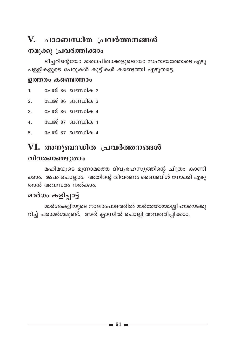## V. പാഠബന്ധിത പ്രവർത്തനങ്ങൾ

### നമുക്കു പ്രവർത്തിക്കാം

ടീച്ചറിന്റെയോ മാതാപിതാക്കളുടെയോ സഹായത്തോടെ ഏഴു പള്ളികളുടെ പേരുകൾ കുട്ടികൾ കണ്ടെത്തി എഴുതട്ടെ.

#### ഉത്തരം കണ്ടെത്താം

- പേജ് 86 ഖണ്ഡിക 2  $\mathbf{1}$
- പേജ് 86 ഖണ്ഡിക 3  $\overline{2}$
- പേജ് 86 ഖണ്ഡിക 4  $\overline{3}$
- പേജ് 87 ഖണ്ഡിക 1  $\overline{4}$ .
- 5. പേജ് 87 ഖണ്ഡിക 4

## VI. അനുബന്ധിത പ്രവർത്തനങ്ങൾ വിവരണമെഴുതാം

മഹിമയുടെ മൂന്നാമത്തെ ദിവ്യരഹസ്യത്തിന്റെ ചിത്രം കാണി ക്കാം. ജപം ചൊല്ലാം. അതിന്റെ വിവരണം ബൈബിൾ നോക്കി എഴു താൻ അവസരം നൽകാം.

## മാർഗം കളിപ്പാട്ട്

മാർഗംകളിയുടെ നാലാംപാദത്തിൽ മാർത്തോമ്മാശ്ലീഹായെക്കു റിച്ച് പരാമർശമുണ്ട്. അത് ക്ലാസിൽ ചൊല്ലി അവതരിപ്പിക്കാം.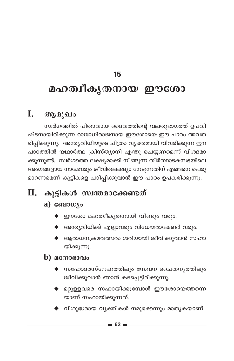### 15

# മഹത്വീകൃതനായ ഈശോ

#### I. ആമുഖം

സ്വർഗത്തിൽ പിതാവായ ദൈവത്തിന്റെ വലതുഭാഗത്ത് ഉപവി ഷ്ടനായിരിക്കുന്ന രാജാധിരാജനായ ഈശോയെ ഈ പാഠം അവത രിപ്പിക്കുന്നു. അന്ത്യവിധിയുടെ ചിത്രം വ്യക്തമായി വിവരിക്കുന്ന ഈ പാഠത്തിൽ യഥാർത്ഥ ക്രിസ്ത്യാനി എന്തു ചെയ്യണമെന്ന് വിശദമാ ക്കുന്നുണ്ട്. സ്വർഗത്തെ ലക്ഷ്യമാക്കി നീങ്ങുന്ന തീർത്ഥാടകസഭയിലെ അംഗങ്ങളായ നാമേവരും ജീവിതലക്ഷ്യം നേടുന്നതിന് എങ്ങനെ പെരു മാറണമെന്ന് കുട്ടികളെ പഠിപ്പിക്കുവാൻ ഈ പാഠം ഉപകരിക്കുന്നു.

## II. കൂടികൾ സ്വന്തമാക്കേണ്ടത്

### a) ബോധ്യം

- $\blacklozenge$  ഈശോ മഹത്വീകൃതനായി വീണ്ടും വരും.
- $\blacklozenge$  അന്ത്യവിധിക്ക് എല്ലാവരും വിധേയരാകേണ്ടി വരും.
- $\blacklozenge$  ആരാധനക്രമവത്സരം ശരിയായി ജീവിക്കുവാൻ സഹാ യിക്കുന്നു.

### $\mathbf b)$  acmosono

- $\blacklozenge$  സഹോദരസ്നേഹത്തിലും സേവന ചൈതനൃത്തിലും ജീവിക്കുവാൻ ഞാൻ കടപ്പെട്ടിരിക്കുന്നു.
- $\blacklozenge$  മറ്റുള്ളവരെ സഹായിക്കുമ്പോൾ ഈശോയെത്തന്നെ യാണ് സഹായിക്കുന്നത്.
- $\blacklozenge$  വിശുദ്ധരായ വ്യക്തികൾ നമുക്കെന്നും മാതൃകയാണ്.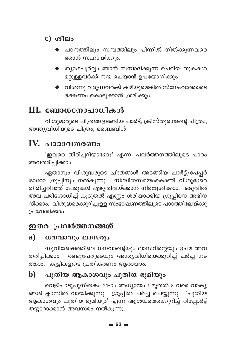- $c)$  ശീലം
	- പഠനത്തിലും സമ്പത്തിലും പിന്നിൽ നിൽക്കുന്നവരെ ഞാൻ സഹായിക്കും.
	- $\blacklozenge$  ത്യാഗപൂർവ്വം ഞാൻ സമ്പാദിക്കുന്ന ചെറിയ തുകകൾ മറ്റുള്ളവർക്ക് നന്മ ചെയ്യാൻ ഉപയോഗിക്കും
	- $\blacklozenge$  വിശന്നു വരുന്നവർക്ക് കഴിയുമെങ്കിൽ സ്നേഹത്തോടെ ഭക്ഷണം കൊടുക്കാൻ ശ്രമിക്കും.

## $III.$  ബോധനോപാധികൾ

വിശുദ്ധരുടെ ചിത്രങ്ങളടങ്ങിയ ചാർട്ട്, ക്രിസ്തുരാജന്റെ ചിത്രം, അന്ത്യവിധിയുടെ ചിത്രം, ബൈബിൾ

## IV. പാഠാവതരണം

'ഇവരെ തിരിച്ചറിയാമോ?' എന്ന പ്രവർത്തനത്തിലൂടെ പാഠം അവതരിപ്പിക്കാം.

ഏതാനും വിശുദ്ധരുടെ ചിത്രങ്ങൾ അടങ്ങിയ ചാർട്ട്/പേപ്പർ ഓരോ ഗ്രൂപ്പിനും നൽകുന്നു. നിശ്ചിതസമയംകൊണ്ട് വിശുദ്ധരെ തിരിച്ചറിഞ്ഞ് പേരുകൾ എഴുതിവയ്ക്കാൻ നിർദ്ദേശിക്കാം. ഒടുവിൽ അവ പരിശോധിച്ച് കൂടുതൽ എണ്ണം ശരിയാക്കിയ ഗ്രൂപ്പിനെ അഭിന ന്ദിക്കാം. വിശുദ്ധരെക്കുറിച്ചുള്ള സംഭാഷണത്തിലൂടെ പാഠത്തിലേയ്ക്കു പ്രവേശിക്കാം.

## ഇതര പ്രവർത്തനങ്ങൾ

#### a) ധനവാനും ലാസറും

സുവിശേഷത്തിലെ ധനവാന്റെയും ലാസറിന്റെയും ഉപമ അവ തരിപ്പിക്കാം. രണ്ടുപേരുടെയും അന്ത്യവിധിയെക്കുറിച്ച് ചർച്ച നട ത്താം. കുട്ടികളുടെ പ്രതികരണം ആരായാം.

#### പുതിയ ആകാശവും പുതിയ ഭൂമിയും b)

വെളിപാടുപുസ്തകം 21-ാം അധ്യായം 1 മുതൽ 8 വരെ വാകൃ ങ്ങൾ ക്ലാസിൽ വായിക്കുന്നു. ഗ്രൂപ്പിൽ ചർച്ച ചെയ്യുന്നു. 'പുതിയ ആകാശവും പുതിയ ഭൂമിയും' എന്ന ആശയത്തെക്കുറിച്ച് റിപ്പോർട്ട് തയാറാക്കാൻ അവസരം നൽകുന്നു.